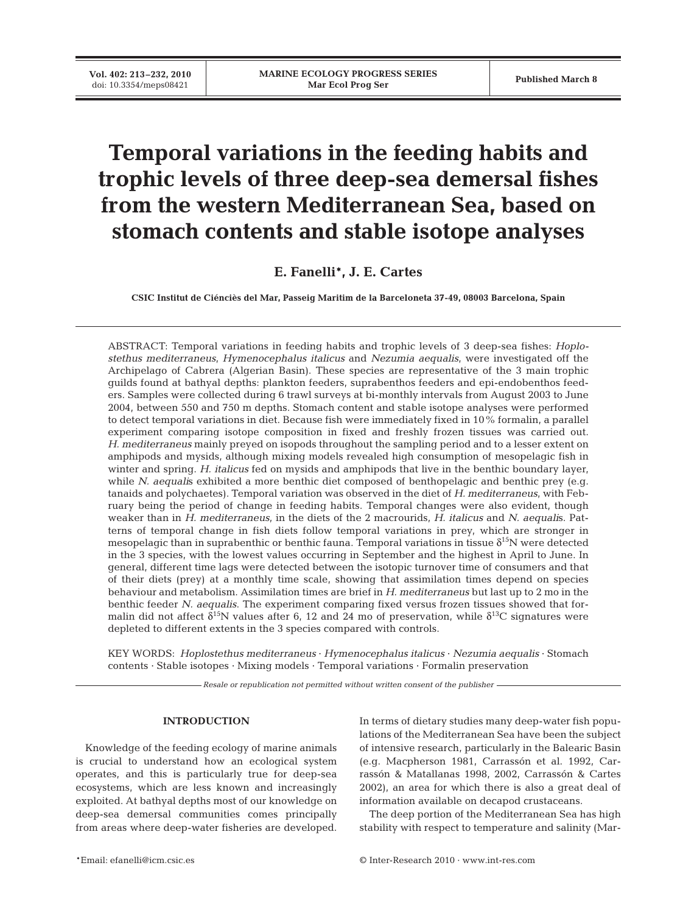# **Temporal variations in the feeding habits and trophic levels of three deep-sea demersal fishes from the western Mediterranean Sea, based on stomach contents and stable isotope analyses**

**E. Fanelli\*, J. E. Cartes**

**CSIC Institut de Ciénciès del Mar, Passeig Maritim de la Barceloneta 37-49, 08003 Barcelona, Spain**

ABSTRACT: Temporal variations in feeding habits and trophic levels of 3 deep-sea fishes: *Hoplostethus mediterraneus*, *Hymenocephalus italicus* and *Nezumia aequalis*, were investigated off the Archipelago of Cabrera (Algerian Basin). These species are representative of the 3 main trophic guilds found at bathyal depths: plankton feeders, suprabenthos feeders and epi-endobenthos feeders. Samples were collected during 6 trawl surveys at bi-monthly intervals from August 2003 to June 2004, between 550 and 750 m depths. Stomach content and stable isotope analyses were performed to detect temporal variations in diet. Because fish were immediately fixed in 10% formalin, a parallel experiment comparing isotope composition in fixed and freshly frozen tissues was carried out. *H. mediterraneus* mainly preyed on isopods throughout the sampling period and to a lesser extent on amphipods and mysids, although mixing models revealed high consumption of mesopelagic fish in winter and spring. *H. italicus* fed on mysids and amphipods that live in the benthic boundary layer, while *N. aequali*s exhibited a more benthic diet composed of benthopelagic and benthic prey (e.g. tanaids and polychaetes). Temporal variation was observed in the diet of *H. mediterraneus*, with February being the period of change in feeding habits. Temporal changes were also evident, though weaker than in *H. mediterraneus*, in the diets of the 2 macrourids, *H. italicus* and *N. aequali*s. Patterns of temporal change in fish diets follow temporal variations in prey, which are stronger in mesopelagic than in suprabenthic or benthic fauna. Temporal variations in tissue  $\delta^{15}N$  were detected in the 3 species, with the lowest values occurring in September and the highest in April to June. In general, different time lags were detected between the isotopic turnover time of consumers and that of their diets (prey) at a monthly time scale, showing that assimilation times depend on species behaviour and metabolism. Assimilation times are brief in *H. mediterraneus* but last up to 2 mo in the benthic feeder *N. aequalis*. The experiment comparing fixed versus frozen tissues showed that formalin did not affect  $\delta^{15}N$  values after 6, 12 and 24 mo of preservation, while  $\delta^{13}C$  signatures were depleted to different extents in the 3 species compared with controls.

KEY WORDS: *Hoplostethus mediterraneus* · *Hymenocephalus italicus* · *Nezumia aequalis* · Stomach contents · Stable isotopes · Mixing models · Temporal variations · Formalin preservation

*Resale or republication not permitted without written consent of the publisher*

# **INTRODUCTION**

Knowledge of the feeding ecology of marine animals is crucial to understand how an ecological system operates, and this is particularly true for deep-sea ecosystems, which are less known and increasingly exploited. At bathyal depths most of our knowledge on deep-sea demersal communities comes principally from areas where deep-water fisheries are developed.

In terms of dietary studies many deep-water fish populations of the Mediterranean Sea have been the subject of intensive research, particularly in the Balearic Basin (e.g. Macpherson 1981, Carrassón et al. 1992, Carrassón & Matallanas 1998, 2002, Carrassón & Cartes 2002), an area for which there is also a great deal of information available on decapod crustaceans.

The deep portion of the Mediterranean Sea has high stability with respect to temperature and salinity (Mar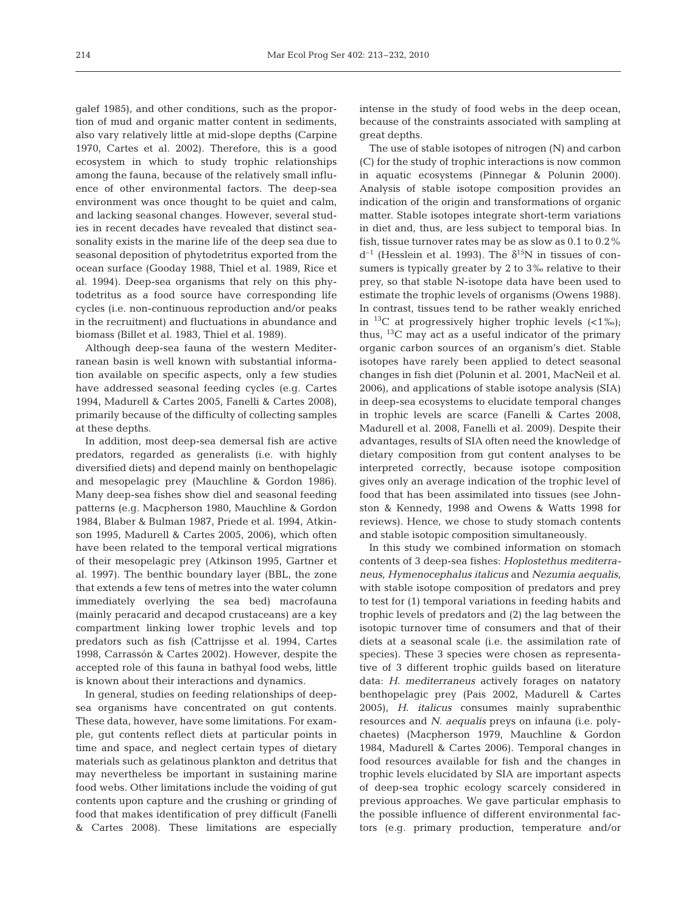galef 1985), and other conditions, such as the proportion of mud and organic matter content in sediments, also vary relatively little at mid-slope depths (Carpine 1970, Cartes et al. 2002). Therefore, this is a good ecosystem in which to study trophic relationships among the fauna, because of the relatively small influence of other environmental factors. The deep-sea environment was once thought to be quiet and calm, and lacking seasonal changes. However, several studies in recent decades have revealed that distinct seasonality exists in the marine life of the deep sea due to seasonal deposition of phytodetritus exported from the ocean surface (Gooday 1988, Thiel et al. 1989, Rice et al. 1994). Deep-sea organisms that rely on this phytodetritus as a food source have corresponding life cycles (i.e. non-continuous reproduction and/or peaks in the recruitment) and fluctuations in abundance and biomass (Billet et al. 1983, Thiel et al. 1989).

Although deep-sea fauna of the western Mediterranean basin is well known with substantial information available on specific aspects, only a few studies have addressed seasonal feeding cycles (e.g. Cartes 1994, Madurell & Cartes 2005, Fanelli & Cartes 2008), primarily because of the difficulty of collecting samples at these depths.

In addition, most deep-sea demersal fish are active predators, regarded as generalists (i.e. with highly diversified diets) and depend mainly on benthopelagic and mesopelagic prey (Mauchline & Gordon 1986). Many deep-sea fishes show diel and seasonal feeding patterns (e.g. Macpherson 1980, Mauchline & Gordon 1984, Blaber & Bulman 1987, Priede et al. 1994, Atkinson 1995, Madurell & Cartes 2005, 2006), which often have been related to the temporal vertical migrations of their mesopelagic prey (Atkinson 1995, Gartner et al. 1997). The benthic boundary layer (BBL, the zone that extends a few tens of metres into the water column immediately overlying the sea bed) macrofauna (mainly peracarid and decapod crustaceans) are a key compartment linking lower trophic levels and top predators such as fish (Cattrijsse et al. 1994, Cartes 1998, Carrassón & Cartes 2002). However, despite the accepted role of this fauna in bathyal food webs, little is known about their interactions and dynamics.

In general, studies on feeding relationships of deepsea organisms have concentrated on gut contents. These data, however, have some limitations. For example, gut contents reflect diets at particular points in time and space, and neglect certain types of dietary materials such as gelatinous plankton and detritus that may nevertheless be important in sustaining marine food webs. Other limitations include the voiding of gut contents upon capture and the crushing or grinding of food that makes identification of prey difficult (Fanelli & Cartes 2008). These limitations are especially

intense in the study of food webs in the deep ocean, because of the constraints associated with sampling at great depths.

The use of stable isotopes of nitrogen (N) and carbon (C) for the study of trophic interactions is now common in aquatic ecosystems (Pinnegar & Polunin 2000). Analysis of stable isotope composition provides an indication of the origin and transformations of organic matter. Stable isotopes integrate short-term variations in diet and, thus, are less subject to temporal bias. In fish, tissue turnover rates may be as slow as 0.1 to 0.2%  $d^{-1}$  (Hesslein et al. 1993). The δ<sup>15</sup>N in tissues of consumers is typically greater by 2 to 3‰ relative to their prey, so that stable N-isotope data have been used to estimate the trophic levels of organisms (Owens 1988). In contrast, tissues tend to be rather weakly enriched in <sup>13</sup>C at progressively higher trophic levels  $($ 1\%); thus,  $^{13}$ C may act as a useful indicator of the primary organic carbon sources of an organism's diet. Stable isotopes have rarely been applied to detect seasonal changes in fish diet (Polunin et al. 2001, MacNeil et al. 2006), and applications of stable isotope analysis (SIA) in deep-sea ecosystems to elucidate temporal changes in trophic levels are scarce (Fanelli & Cartes 2008, Madurell et al. 2008, Fanelli et al. 2009). Despite their advantages, results of SIA often need the knowledge of dietary composition from gut content analyses to be interpreted correctly, because isotope composition gives only an average indication of the trophic level of food that has been assimilated into tissues (see Johnston & Kennedy, 1998 and Owens & Watts 1998 for reviews). Hence, we chose to study stomach contents and stable isotopic composition simultaneously.

In this study we combined information on stomach contents of 3 deep-sea fishes: *Hoplostethus mediterraneus*, *Hymenocephalus italicus* and *Nezumia aequalis*, with stable isotope composition of predators and prey to test for (1) temporal variations in feeding habits and trophic levels of predators and (2) the lag between the isotopic turnover time of consumers and that of their diets at a seasonal scale (i.e. the assimilation rate of species). These 3 species were chosen as representative of 3 different trophic guilds based on literature data: *H. mediterraneus* actively forages on natatory benthopelagic prey (Pais 2002, Madurell & Cartes 2005), *H. italicus* consumes mainly suprabenthic resources and *N. aequalis* preys on infauna (i.e. polychaetes) (Macpherson 1979, Mauchline & Gordon 1984, Madurell & Cartes 2006). Temporal changes in food resources available for fish and the changes in trophic levels elucidated by SIA are important aspects of deep-sea trophic ecology scarcely considered in previous approaches. We gave particular emphasis to the possible influence of different environmental factors (e.g. primary production, temperature and/or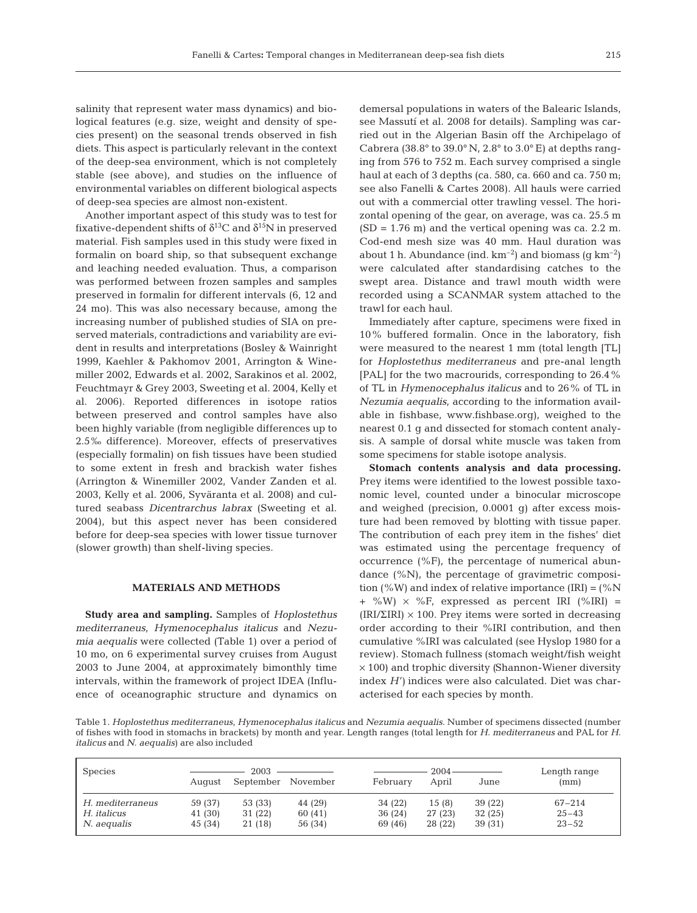salinity that represent water mass dynamics) and biological features (e.g. size, weight and density of species present) on the seasonal trends observed in fish diets. This aspect is particularly relevant in the context of the deep-sea environment, which is not completely stable (see above), and studies on the influence of environmental variables on different biological aspects of deep-sea species are almost non-existent.

Another important aspect of this study was to test for fixative-dependent shifts of  $\delta^{13}$ C and  $\delta^{15}$ N in preserved material. Fish samples used in this study were fixed in formalin on board ship, so that subsequent exchange and leaching needed evaluation. Thus, a comparison was performed between frozen samples and samples preserved in formalin for different intervals (6, 12 and 24 mo). This was also necessary because, among the increasing number of published studies of SIA on preserved materials, contradictions and variability are evident in results and interpretations (Bosley & Wainright 1999, Kaehler & Pakhomov 2001, Arrington & Winemiller 2002, Edwards et al. 2002, Sarakinos et al. 2002, Feuchtmayr & Grey 2003, Sweeting et al. 2004, Kelly et al. 2006). Reported differences in isotope ratios between preserved and control samples have also been highly variable (from negligible differences up to 2.5‰ difference). Moreover, effects of preservatives (especially formalin) on fish tissues have been studied to some extent in fresh and brackish water fishes (Arrington & Winemiller 2002, Vander Zanden et al. 2003, Kelly et al. 2006, Syväranta et al. 2008) and cultured seabass *Dicentrarchus labrax* (Sweeting et al. 2004), but this aspect never has been considered before for deep-sea species with lower tissue turnover (slower growth) than shelf-living species.

## **MATERIALS AND METHODS**

**Study area and sampling.** Samples of *Hoplostethus mediterraneus*, *Hymenocephalus italicus* and *Nezumia aequalis* were collected (Table 1) over a period of 10 mo, on 6 experimental survey cruises from August 2003 to June 2004, at approximately bimonthly time intervals, within the framework of project IDEA (Influence of oceanographic structure and dynamics on demersal populations in waters of the Balearic Islands, see Massutí et al. 2008 for details). Sampling was carried out in the Algerian Basin off the Archipelago of Cabrera (38.8 $\degree$  to 39.0 $\degree$  N, 2.8 $\degree$  to 3.0 $\degree$  E) at depths ranging from 576 to 752 m. Each survey comprised a single haul at each of 3 depths (ca. 580, ca. 660 and ca. 750 m; see also Fanelli & Cartes 2008). All hauls were carried out with a commercial otter trawling vessel. The horizontal opening of the gear, on average, was ca. 25.5 m  $(SD = 1.76$  m) and the vertical opening was ca. 2.2 m. Cod-end mesh size was 40 mm. Haul duration was about 1 h. Abundance (ind.  $km^{-2}$ ) and biomass (g  $km^{-2}$ ) were calculated after standardising catches to the swept area. Distance and trawl mouth width were recorded using a SCANMAR system attached to the trawl for each haul.

Immediately after capture, specimens were fixed in 10% buffered formalin. Once in the laboratory, fish were measured to the nearest 1 mm (total length [TL] for *Hoplostethus mediterraneus* and pre-anal length [PAL] for the two macrourids, corresponding to 26.4% of TL in *Hymenocephalus italicus* and to 26% of TL in *Nezumia aequalis*, according to the information available in fishbase, www.fishbase.org), weighed to the nearest 0.1 g and dissected for stomach content analysis. A sample of dorsal white muscle was taken from some specimens for stable isotope analysis.

**Stomach contents analysis and data processing.** Prey items were identified to the lowest possible taxonomic level, counted under a binocular microscope and weighed (precision, 0.0001 g) after excess moisture had been removed by blotting with tissue paper. The contribution of each prey item in the fishes' diet was estimated using the percentage frequency of occurrence (%F), the percentage of numerical abundance (%N), the percentage of gravimetric composition (%W) and index of relative importance (IRI) = (%N)  $+$  %W)  $\times$  %F, expressed as percent IRI (%IRI) = (IRI/ΣIRI)  $\times$  100. Prey items were sorted in decreasing order according to their %IRI contribution, and then cumulative %IRI was calculated (see Hyslop 1980 for a review). Stomach fullness (stomach weight/fish weight × 100) and trophic diversity *(*Shannon-Wiener diversity index *H')* indices were also calculated. Diet was characterised for each species by month.

Table 1. *Hoplostethus mediterraneus*, *Hymenocephalus italicus* and *Nezumia aequalis.* Number of specimens dissected (number of fishes with food in stomachs in brackets) by month and year. Length ranges (total length for *H. mediterraneus* and PAL for *H. italicus* and *N. aequalis*) are also included

| <b>Species</b>     | August  | 2003<br>September | November | February | $2004 -$<br>April | June   | Length range<br>(mm) |
|--------------------|---------|-------------------|----------|----------|-------------------|--------|----------------------|
| H. mediterraneus   | 59 (37) | 53 (33)           | 44 (29)  | 34 (22)  | 15(8)             | 39(22) | $67 - 214$           |
| <i>H.</i> italicus | 41 (30) | 31 (22)           | 60 (41)  | 36(24)   | 27(23)            | 32(25) | $25 - 43$            |
| N. aequalis        | 45 (34) | 21 (18)           | 56 (34)  | 69 (46)  | 28(22)            | 39(31) | $23 - 52$            |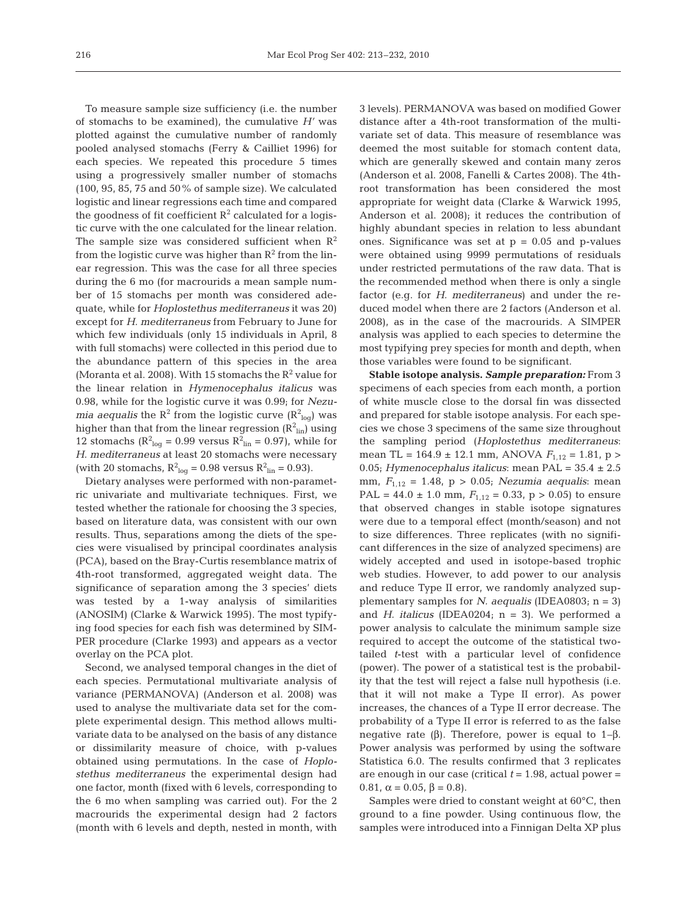To measure sample size sufficiency (i.e. the number of stomachs to be examined), the cumulative *H'* was plotted against the cumulative number of randomly pooled analysed stomachs (Ferry & Cailliet 1996) for each species. We repeated this procedure 5 times using a progressively smaller number of stomachs (100, 95, 85, 75 and 50% of sample size). We calculated logistic and linear regressions each time and compared the goodness of fit coefficient  $\mathbb{R}^2$  calculated for a logistic curve with the one calculated for the linear relation. The sample size was considered sufficient when  $R^2$ from the logistic curve was higher than  $R^2$  from the linear regression. This was the case for all three species during the 6 mo (for macrourids a mean sample number of 15 stomachs per month was considered adequate, while for *Hoplostethus mediterraneus* it was 20) except for *H. mediterraneus* from February to June for which few individuals (only 15 individuals in April, 8 with full stomachs) were collected in this period due to the abundance pattern of this species in the area (Moranta et al. 2008). With 15 stomachs the  $R^2$  value for the linear relation in *Hymenocephalus italicus* was 0.98, while for the logistic curve it was 0.99; for *Nezumia aequalis* the  $R^2$  from the logistic curve  $(R^2_{log})$  was higher than that from the linear regression ( $\text{R}^2_\text{lin}$ ) using 12 stomachs ( $R^2$ <sub>log</sub> = 0.99 versus  $R^2$ <sub>lin</sub> = 0.97), while for *H. mediterraneus* at least 20 stomachs were necessary (with 20 stomachs,  $R^2_{log} = 0.98$  versus  $R^2_{lin} = 0.93$ ).

Dietary analyses were performed with non-parametric univariate and multivariate techniques. First, we tested whether the rationale for choosing the 3 species, based on literature data, was consistent with our own results. Thus, separations among the diets of the species were visualised by principal coordinates analysis (PCA), based on the Bray-Curtis resemblance matrix of 4th-root transformed, aggregated weight data. The significance of separation among the 3 species' diets was tested by a 1-way analysis of similarities (ANOSIM) (Clarke & Warwick 1995). The most typifying food species for each fish was determined by SIM-PER procedure (Clarke 1993) and appears as a vector overlay on the PCA plot.

Second, we analysed temporal changes in the diet of each species. Permutational multivariate analysis of variance (PERMANOVA) (Anderson et al. 2008) was used to analyse the multivariate data set for the complete experimental design. This method allows multivariate data to be analysed on the basis of any distance or dissimilarity measure of choice, with p-values obtained using permutations. In the case of *Hoplostethus mediterraneus* the experimental design had one factor, month (fixed with 6 levels, corresponding to the 6 mo when sampling was carried out). For the 2 macrourids the experimental design had 2 factors (month with 6 levels and depth, nested in month, with 3 levels). PERMANOVA was based on modified Gower distance after a 4th-root transformation of the multivariate set of data. This measure of resemblance was deemed the most suitable for stomach content data, which are generally skewed and contain many zeros (Anderson et al. 2008, Fanelli & Cartes 2008). The 4throot transformation has been considered the most appropriate for weight data (Clarke & Warwick 1995, Anderson et al. 2008); it reduces the contribution of highly abundant species in relation to less abundant ones. Significance was set at  $p = 0.05$  and p-values were obtained using 9999 permutations of residuals under restricted permutations of the raw data. That is the recommended method when there is only a single factor (e.g. for *H. mediterraneus*) and under the reduced model when there are 2 factors (Anderson et al. 2008), as in the case of the macrourids. A SIMPER analysis was applied to each species to determine the most typifying prey species for month and depth, when those variables were found to be significant.

**Stable isotope analysis.** *Sample preparation:* From 3 specimens of each species from each month, a portion of white muscle close to the dorsal fin was dissected and prepared for stable isotope analysis. For each species we chose 3 specimens of the same size throughout the sampling period (*Hoplostethus mediterraneus*: mean TL = 164.9 ± 12.1 mm, ANOVA *F*1,12 = 1.81, p > 0.05; *Hymenocephalus italicus*: mean PAL = 35.4 ± 2.5 mm, *F*1,12 = 1.48, p > 0.05; *Nezumia aequalis*: mean PAL =  $44.0 \pm 1.0$  mm,  $F_{1,12} = 0.33$ , p > 0.05) to ensure that observed changes in stable isotope signatures were due to a temporal effect (month/season) and not to size differences. Three replicates (with no significant differences in the size of analyzed specimens) are widely accepted and used in isotope-based trophic web studies. However, to add power to our analysis and reduce Type II error, we randomly analyzed supplementary samples for *N. aequalis* (IDEA0803; n = 3) and *H. italicus* (IDEA0204;  $n = 3$ ). We performed a power analysis to calculate the minimum sample size required to accept the outcome of the statistical twotailed *t*-test with a particular level of confidence (power). The power of a statistical test is the probability that the test will reject a false null hypothesis (i.e. that it will not make a Type II error). As power increases, the chances of a Type II error decrease. The probability of a Type II error is referred to as the false negative rate (β). Therefore, power is equal to  $1-\beta$ . Power analysis was performed by using the software Statistica 6.0. The results confirmed that 3 replicates are enough in our case (critical *t* = 1.98, actual power = 0.81,  $\alpha = 0.05$ ,  $\beta = 0.8$ ).

Samples were dried to constant weight at 60°C, then ground to a fine powder. Using continuous flow, the samples were introduced into a Finnigan Delta XP plus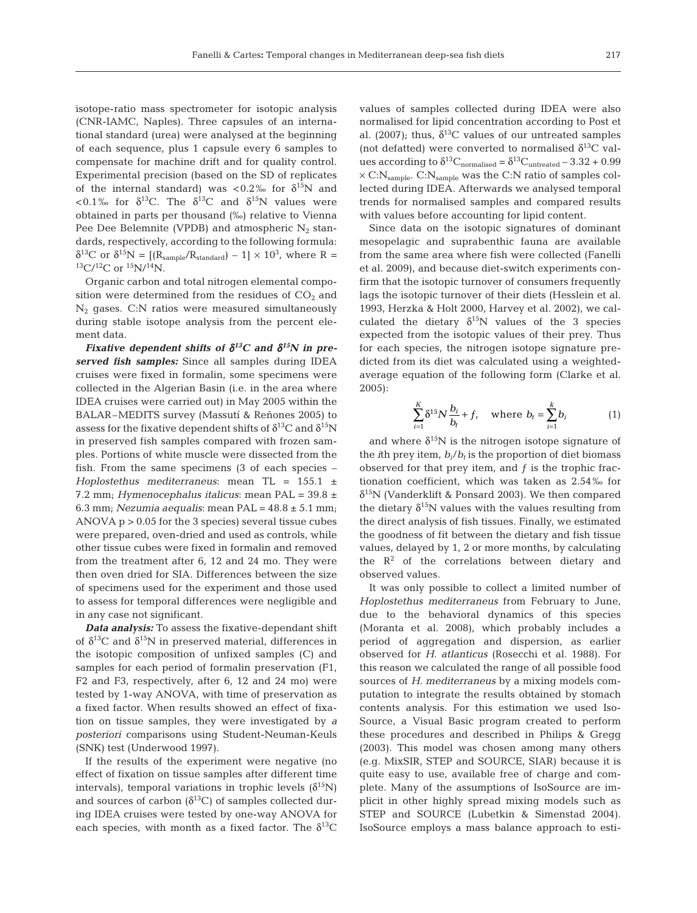isotope-ratio mass spectrometer for isotopic analysis (CNR-IAMC, Naples). Three capsules of an international standard (urea) were analysed at the beginning of each sequence, plus 1 capsule every 6 samples to compensate for machine drift and for quality control. Experimental precision (based on the SD of replicates of the internal standard) was <0.2‰ for  $\delta^{15}N$  and <0.1‰ for  $\delta^{13}$ C. The  $\delta^{13}$ C and  $\delta^{15}$ N values were obtained in parts per thousand (‰) relative to Vienna Pee Dee Belemnite (VPDB) and atmospheric  $N_2$  standards, respectively, according to the following formula:  $\delta^{13}C$  or  $\delta^{15}N = [(R_{sample}/R_{standard}) - 1] \times 10^3$ , where R =  $^{13}C/^{12}C$  or  $^{15}N/^{14}N$ .

Organic carbon and total nitrogen elemental composition were determined from the residues of  $CO<sub>2</sub>$  and  $N_2$  gases. C:N ratios were measured simultaneously during stable isotope analysis from the percent element data.

*Fixative dependent shifts of* δ*13C and* δ*15N in preserved fish samples:* Since all samples during IDEA cruises were fixed in formalin, some specimens were collected in the Algerian Basin (i.e. in the area where IDEA cruises were carried out) in May 2005 within the BALAR–MEDITS survey (Massutí & Reñones 2005) to assess for the fixative dependent shifts of  $\delta^{13}C$  and  $\delta^{15}N$ in preserved fish samples compared with frozen samples. Portions of white muscle were dissected from the fish. From the same specimens (3 of each species – *Hoplostethus mediterraneus*: mean TL = 155.1 ± 7.2 mm; *Hymenocephalus italicus*: mean PAL = 39.8 ± 6.3 mm; *Nezumia aequalis*: mean PAL = 48.8 ± 5.1 mm; ANOVA  $p > 0.05$  for the 3 species) several tissue cubes were prepared, oven-dried and used as controls, while other tissue cubes were fixed in formalin and removed from the treatment after 6, 12 and 24 mo. They were then oven dried for SIA. Differences between the size of specimens used for the experiment and those used to assess for temporal differences were negligible and in any case not significant.

*Data analysis:* To assess the fixative-dependant shift of  $\delta^{13}$ C and  $\delta^{15}$ N in preserved material, differences in the isotopic composition of unfixed samples (C) and samples for each period of formalin preservation (F1, F2 and F3, respectively, after 6, 12 and 24 mo) were tested by 1-way ANOVA, with time of preservation as a fixed factor. When results showed an effect of fixation on tissue samples, they were investigated by *a posteriori* comparisons using Student-Neuman-Keuls (SNK) test (Underwood 1997).

If the results of the experiment were negative (no effect of fixation on tissue samples after different time intervals), temporal variations in trophic levels  $(\delta^{15}N)$ and sources of carbon  $(\delta^{13}C)$  of samples collected during IDEA cruises were tested by one-way ANOVA for each species, with month as a fixed factor. The  $\delta^{13}C$ 

values of samples collected during IDEA were also normalised for lipid concentration according to Post et al. (2007); thus,  $\delta^{13}$ C values of our untreated samples (not defatted) were converted to normalised  $\delta^{13}C$  values according to  $\delta^{13}\mathrm{C}_{\mathrm{normalized}}=\delta^{13}\mathrm{C}_{\mathrm{untreated}}-3.32+0.99$  $\times$  C:N<sub>sample</sub>. C:N<sub>sample</sub> was the C:N ratio of samples collected during IDEA. Afterwards we analysed temporal trends for normalised samples and compared results with values before accounting for lipid content.

Since data on the isotopic signatures of dominant mesopelagic and suprabenthic fauna are available from the same area where fish were collected (Fanelli et al. 2009), and because diet-switch experiments confirm that the isotopic turnover of consumers frequently lags the isotopic turnover of their diets (Hesslein et al. 1993, Herzka & Holt 2000, Harvey et al. 2002), we calculated the dietary  $\delta^{15}N$  values of the 3 species expected from the isotopic values of their prey. Thus for each species, the nitrogen isotope signature predicted from its diet was calculated using a weightedaverage equation of the following form (Clarke et al. 2005):

$$
\sum_{i=1}^{K} \delta^{15} N \frac{b_i}{b_t} + f, \quad \text{where } b_t = \sum_{i=1}^{K} b_i \tag{1}
$$

and where  $\delta^{15}N$  is the nitrogen isotope signature of the *i*th prey item,  $b_i/b_i$  is the proportion of diet biomass observed for that prey item, and  $f$  is the trophic fractionation coefficient, which was taken as 2.54‰ for  $\delta^{15}$ N (Vanderklift & Ponsard 2003). We then compared the dietary  $\delta^{15}N$  values with the values resulting from the direct analysis of fish tissues. Finally, we estimated the goodness of fit between the dietary and fish tissue values, delayed by 1, 2 or more months, by calculating the  $R^2$  of the correlations between dietary and observed values.

It was only possible to collect a limited number of *Hoplostethus mediterraneus* from February to June, due to the behavioral dynamics of this species (Moranta et al. 2008), which probably includes a period of aggregation and dispersion, as earlier observed for *H. atlanticus* (Rosecchi et al. 1988). For this reason we calculated the range of all possible food sources of *H. mediterraneus* by a mixing models computation to integrate the results obtained by stomach contents analysis. For this estimation we used Iso-Source, a Visual Basic program created to perform these procedures and described in Philips & Gregg (2003). This model was chosen among many others (e.g. MixSIR, STEP and SOURCE, SIAR) because it is quite easy to use, available free of charge and complete. Many of the assumptions of IsoSource are implicit in other highly spread mixing models such as STEP and SOURCE (Lubetkin & Simenstad 2004). IsoSource employs a mass balance approach to esti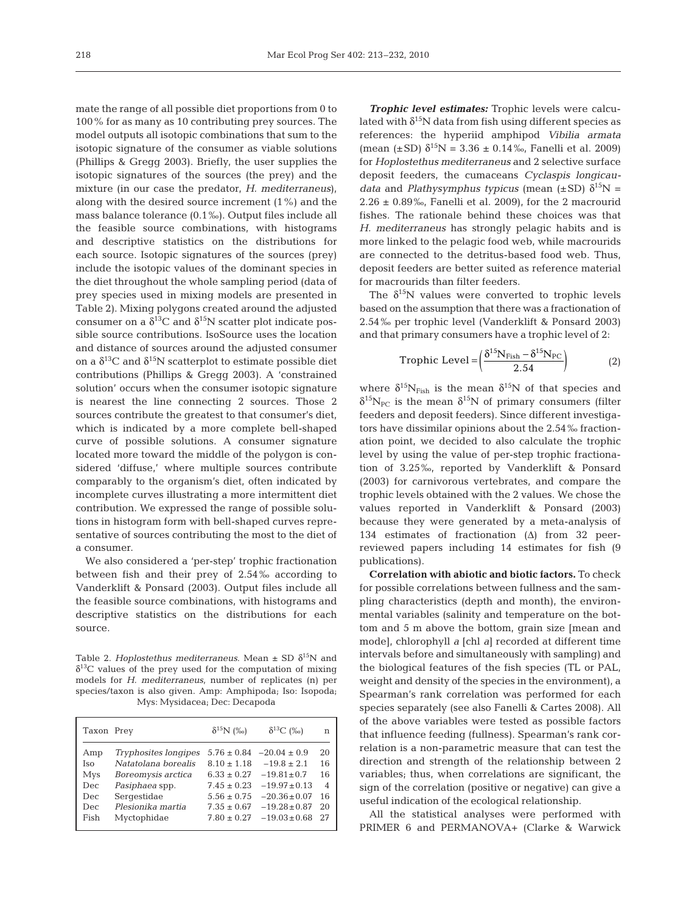mate the range of all possible diet proportions from 0 to 100% for as many as 10 contributing prey sources. The model outputs all isotopic combinations that sum to the isotopic signature of the consumer as viable solutions (Phillips & Gregg 2003). Briefly, the user supplies the isotopic signatures of the sources (the prey) and the mixture (in our case the predator, *H. mediterraneus*), along with the desired source increment (1%) and the mass balance tolerance (0.1‰). Output files include all the feasible source combinations, with histograms and descriptive statistics on the distributions for each source. Isotopic signatures of the sources (prey) include the isotopic values of the dominant species in the diet throughout the whole sampling period (data of prey species used in mixing models are presented in Table 2). Mixing polygons created around the adjusted consumer on a  $\delta^{13}$ C and  $\delta^{15}$ N scatter plot indicate possible source contributions. IsoSource uses the location and distance of sources around the adjusted consumer on a  $\delta^{13}$ C and  $\delta^{15}$ N scatterplot to estimate possible diet contributions (Phillips & Gregg 2003). A 'constrained solution' occurs when the consumer isotopic signature is nearest the line connecting 2 sources. Those 2 sources contribute the greatest to that consumer's diet, which is indicated by a more complete bell-shaped curve of possible solutions. A consumer signature located more toward the middle of the polygon is considered 'diffuse,' where multiple sources contribute comparably to the organism's diet, often indicated by incomplete curves illustrating a more intermittent diet contribution. We expressed the range of possible solutions in histogram form with bell-shaped curves representative of sources contributing the most to the diet of a consumer.

We also considered a 'per-step' trophic fractionation between fish and their prey of 2.54‰ according to Vanderklift & Ponsard (2003). Output files include all the feasible source combinations, with histograms and descriptive statistics on the distributions for each source.

Table 2. *Hoplostethus mediterraneus*. Mean  $\pm$  SD  $\delta^{15}N$  and  $\delta^{13}$ C values of the prey used for the computation of mixing models for *H. mediterraneus*, number of replicates (n) per species/taxon is also given. Amp: Amphipoda; Iso: Isopoda; Mys: Mysidacea; Dec: Decapoda

| Taxon Prey |                      | $\delta^{15}N$ (%) | $\delta^{13}C$ (%) | n              |
|------------|----------------------|--------------------|--------------------|----------------|
| Amp        | Tryphosites longipes | $5.76 \pm 0.84$    | $-20.04 \pm 0.9$   | 20             |
| <b>Iso</b> | Natatolana borealis  | $8.10 \pm 1.18$    | $-19.8 \pm 2.1$    | 16             |
| Mys        | Boreomysis arctica   | $6.33 \pm 0.27$    | $-19.81 \pm 0.7$   | 16             |
| Dec        | Pasiphaea spp.       | $7.45 \pm 0.23$    | $-19.97 \pm 0.13$  | $\overline{4}$ |
| Dec        | Sergestidae          | $5.56 \pm 0.75$    | $-20.36 \pm 0.07$  | 16             |
| Dec.       | Plesionika martia    | $7.35 \pm 0.67$    | $-19.28 \pm 0.87$  | 20             |
| Fish       | Myctophidae          | $7.80 \pm 0.27$    | $-19.03 \pm 0.68$  | 27             |
|            |                      |                    |                    |                |

*Trophic level estimates:* Trophic levels were calculated with  $\delta^{15}N$  data from fish using different species as references: the hyperiid amphipod *Vibilia armata* (mean (±SD)  $\delta^{15}N = 3.36 \pm 0.14\%$ , Fanelli et al. 2009) for *Hoplostethus mediterraneus* and 2 selective surface deposit feeders, the cumaceans *Cyclaspis longicaudata* and *Plathysymphus typicus* (mean  $(\pm SD)$   $\delta^{15}N =$  $2.26 \pm 0.89\%$ , Fanelli et al. 2009), for the 2 macrourid fishes. The rationale behind these choices was that *H. mediterraneus* has strongly pelagic habits and is more linked to the pelagic food web, while macrourids are connected to the detritus-based food web. Thus, deposit feeders are better suited as reference material for macrourids than filter feeders.

The  $\delta^{15}$ N values were converted to trophic levels based on the assumption that there was a fractionation of 2.54‰ per trophic level (Vanderklift & Ponsard 2003) and that primary consumers have a trophic level of 2:

Trophic Level = 
$$
\left(\frac{\delta^{15}N_{\text{Fish}} - \delta^{15}N_{\text{PC}}}{2.54}\right)
$$
 (2)

where  $\delta^{15}N_{Fish}$  is the mean  $\delta^{15}N$  of that species and  $\delta^{15}N_{PC}$  is the mean  $\delta^{15}N$  of primary consumers (filter feeders and deposit feeders). Since different investigators have dissimilar opinions about the 2.54‰ fractionation point, we decided to also calculate the trophic level by using the value of per-step trophic fractionation of 3.25‰, reported by Vanderklift & Ponsard (2003) for carnivorous vertebrates, and compare the trophic levels obtained with the 2 values. We chose the values reported in Vanderklift & Ponsard (2003) because they were generated by a meta-analysis of 134 estimates of fractionation (Δ) from 32 peerreviewed papers including 14 estimates for fish (9 publications).

**Correlation with abiotic and biotic factors.** To check for possible correlations between fullness and the sampling characteristics (depth and month), the environmental variables (salinity and temperature on the bottom and 5 m above the bottom, grain size [mean and mode], chlorophyll *a* [chl *a*] recorded at different time intervals before and simultaneously with sampling) and the biological features of the fish species (TL or PAL, weight and density of the species in the environment), a Spearman's rank correlation was performed for each species separately (see also Fanelli & Cartes 2008). All of the above variables were tested as possible factors that influence feeding (fullness). Spearman's rank correlation is a non-parametric measure that can test the direction and strength of the relationship between 2 variables; thus, when correlations are significant, the sign of the correlation (positive or negative) can give a useful indication of the ecological relationship.

All the statistical analyses were performed with PRIMER 6 and PERMANOVA+ (Clarke & Warwick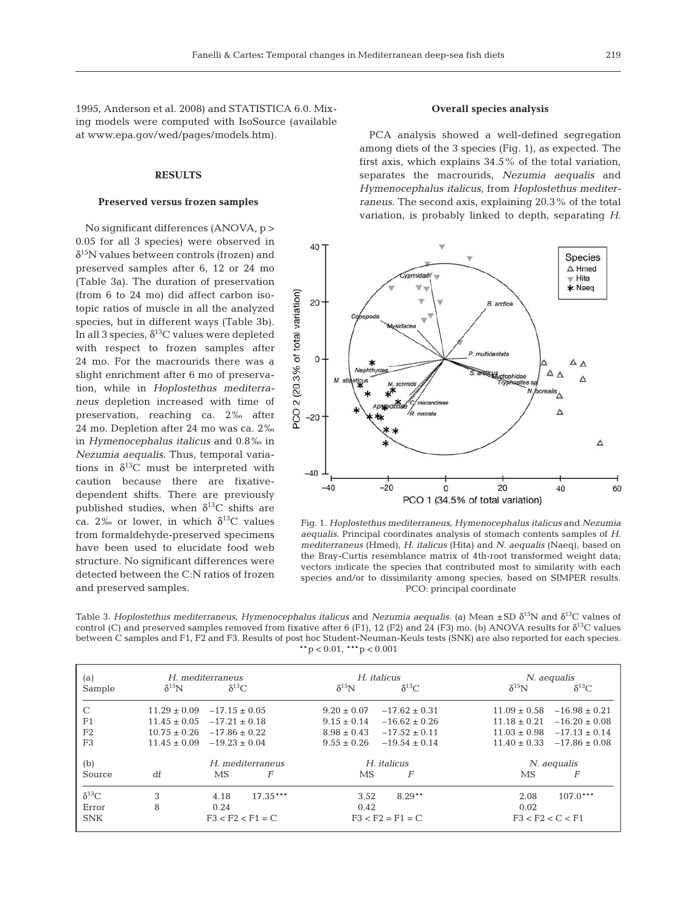1995, Anderson et al. 2008) and STATISTICA 6.0. Mixing models were computed with IsoSource (available at www.epa.gov/wed/pages/models.htm).

# **RESULTS**

#### **Preserved versus frozen samples**

No significant differences (ANOVA, p > 0.05 for all 3 species) were observed in  $\delta^{15}$ N values between controls (frozen) and preserved samples after 6, 12 or 24 mo (Table 3a). The duration of preservation (from 6 to 24 mo) did affect carbon isotopic ratios of muscle in all the analyzed species, but in different ways (Table 3b). In all 3 species,  $\delta^{13}$ C values were depleted with respect to frozen samples after 24 mo. For the macrourids there was a slight enrichment after 6 mo of preservation, while in *Hoplostethus mediterraneus* depletion increased with time of preservation, reaching ca. 2‰ after 24 mo. Depletion after 24 mo was ca. 2‰ in *Hymenocephalus italicus* and 0.8‰ in *Nezumia aequalis*. Thus, temporal variations in  $\delta^{13}$ C must be interpreted with caution because there are fixativedependent shifts. There are previously published studies, when  $\delta^{13}$ C shifts are ca. 2‰ or lower, in which  $\delta^{13}C$  values from formaldehyde-preserved specimens have been used to elucidate food web structure. No significant differences were detected between the C:N ratios of frozen and preserved samples.

# **Overall species analysis**

PCA analysis showed a well-defined segregation among diets of the 3 species (Fig. 1), as expected. The first axis, which explains 34.5% of the total variation, separates the macrourids, *Nezumia aequalis* and *Hymenocephalus italicus*, from *Hoplostethus mediterraneus*. The second axis, explaining 20.3% of the total variation, is probably linked to depth, separating *H.*



Fig. 1. *Hoplostethus mediterraneus*, *Hymenocephalus italicus* and *Nezumia aequalis*. Principal coordinates analysis of stomach contents samples of *H. mediterraneus* (Hmed), *H. italicus* (Hita) and *N. aequalis* (Naeq), based on the Bray-Curtis resemblance matrix of 4th-root transformed weight data; vectors indicate the species that contributed most to similarity with each species and/or to dissimilarity among species, based on SIMPER results. PCO: principal coordinate

Table 3. *Hoplostethus mediterraneus*, *Hymenocephalus italicus* and *Nezumia aequalis*. (a) Mean ±SD δ<sup>15</sup>N and δ<sup>13</sup>C values of control (C) and preserved samples removed from fixative after 6 (F1), 12 (F2) and 24 (F3) mo. (b) ANOVA results for  $\delta^{13}C$  values between C samples and F1, F2 and F3. Results of post hoc Student-Neuman-Keuls tests (SNK) are also reported for each species.  $*$ <sup>\*</sup> $p$  < 0.01, \*\*\* $p$  < 0.001

| (a)<br>Sample                                           | $\delta^{15}N$                                                               | H. mediterraneus<br>$\delta^{13}C$                                             | H. <i>italicus</i><br>$\delta^{15}$ N<br>$\delta^{13}$ C                                                                                                     | N. aequalis<br>$\delta^{15}$ N<br>$\delta^{13}C$                                                                                                                 |
|---------------------------------------------------------|------------------------------------------------------------------------------|--------------------------------------------------------------------------------|--------------------------------------------------------------------------------------------------------------------------------------------------------------|------------------------------------------------------------------------------------------------------------------------------------------------------------------|
| $\mathcal{C}$<br>F1<br>F <sub>2</sub><br>F <sub>3</sub> | $11.29 \pm 0.09$<br>$11.45 \pm 0.05$<br>$10.75 \pm 0.26$<br>$11.45 \pm 0.09$ | $-17.15 \pm 0.05$<br>$-17.21 \pm 0.18$<br>$-17.86 \pm 0.22$<br>$-19.23 + 0.04$ | $9.20 \pm 0.07$<br>$-17.62 \pm 0.31$<br>$9.15 \pm 0.14$<br>$-16.62 \pm 0.26$<br>$8.98 \pm 0.43$<br>$-17.52 \pm 0.11$<br>$-19.54 \pm 0.14$<br>$9.55 \pm 0.26$ | $11.09 \pm 0.58$<br>$-16.98 \pm 0.21$<br>$11.18 \pm 0.21$<br>$-16.20 \pm 0.08$<br>$11.03 \pm 0.98$<br>$-17.13 \pm 0.14$<br>$11.40 \pm 0.33$<br>$-17.86 \pm 0.08$ |
| (b)<br>Source                                           | df                                                                           | H. mediterraneus<br>MS<br>F                                                    | H. <i>italicus</i><br>$\overline{F}$<br>МS                                                                                                                   | N. aequalis<br>МS<br>$\overline{F}$                                                                                                                              |
| $\delta^{13}C$<br>Error<br><b>SNK</b>                   | 3<br>8                                                                       | $17.35***$<br>4.18<br>0.24<br>$F3 < F2 < F1 = C$                               | $8.29**$<br>3.52<br>0.42<br>$F3 < F2 = F1 = C$                                                                                                               | $107.0***$<br>2.08<br>0.02<br>F3 < F2 < C < F1                                                                                                                   |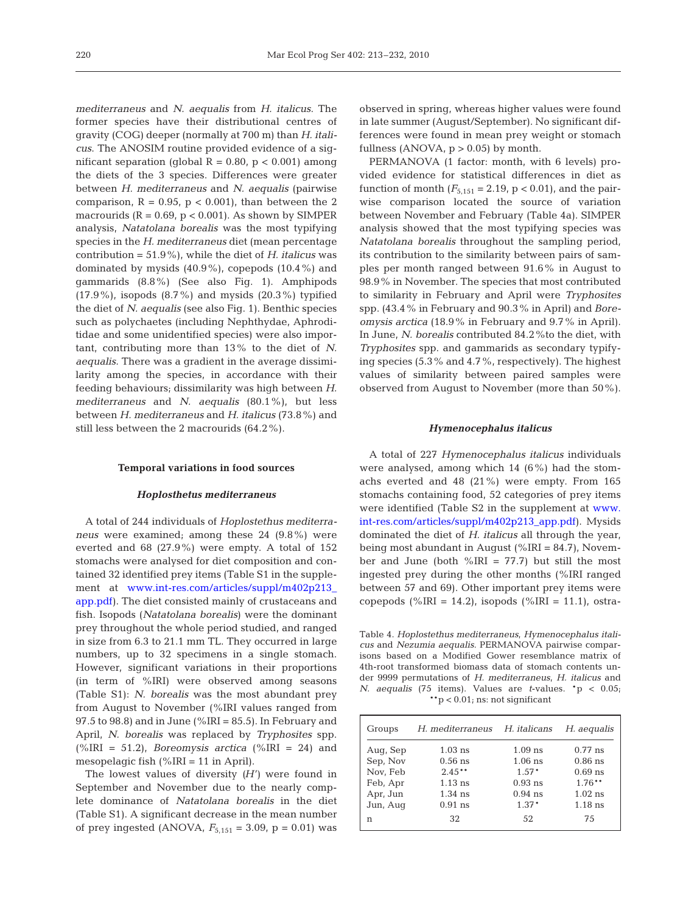*mediterraneus* and *N. aequalis* from *H. italicus*. The former species have their distributional centres of gravity (COG) deeper (normally at 700 m) than *H. italicus*. The ANOSIM routine provided evidence of a significant separation (global  $R = 0.80$ ,  $p < 0.001$ ) among the diets of the 3 species. Differences were greater between *H. mediterraneus* and *N. aequalis* (pairwise comparison,  $R = 0.95$ ,  $p < 0.001$ ), than between the 2 macrourids  $(R = 0.69, p < 0.001)$ . As shown by SIMPER analysis, *Natatolana borealis* was the most typifying species in the *H. mediterraneus* diet (mean percentage contribution = 51.9%), while the diet of *H. italicus* was dominated by mysids (40.9%), copepods (10.4%) and gammarids (8.8%) (See also Fig. 1). Amphipods  $(17.9\%)$ , isopods  $(8.7\%)$  and mysids  $(20.3\%)$  typified the diet of *N. aequalis* (see also Fig. 1). Benthic species such as polychaetes (including Nephthydae, Aphroditidae and some unidentified species) were also important, contributing more than 13% to the diet of *N. aequalis*. There was a gradient in the average dissimilarity among the species, in accordance with their feeding behaviours; dissimilarity was high between *H. mediterraneus* and *N. aequalis* (80.1%), but less between *H. mediterraneus* and *H. italicus* (73.8%) and still less between the 2 macrourids (64.2%).

## **Temporal variations in food sources**

#### *Hoplosthetus mediterraneus*

A total of 244 individuals of *Hoplostethus mediterraneus* were examined; among these 24 (9.8%) were everted and 68 (27.9%) were empty. A total of 152 stomachs were analysed for diet composition and contained 32 identified prey items (Table S1 in the supplement at [www.int-res.com/articles/suppl/m402p213\\_](http://www.int-res.com/articles/suppl/m402p213_app.pdf) [app.pdf\).](http://www.int-res.com/articles/suppl/m402p213_app.pdf) The diet consisted mainly of crustaceans and fish. Isopods (*Natatolana borealis*) were the dominant prey throughout the whole period studied, and ranged in size from 6.3 to 21.1 mm TL. They occurred in large numbers, up to 32 specimens in a single stomach. However, significant variations in their proportions (in term of %IRI) were observed among seasons (Table S1): *N. borealis* was the most abundant prey from August to November (%IRI values ranged from 97.5 to 98.8) and in June (%IRI = 85.5). In February and April, *N. borealis* was replaced by *Tryphosites* spp.  $(\%IRI = 51.2)$ , *Boreomysis arctica*  $(\%IRI = 24)$  and mesopelagic fish (% $IRI = 11$  in April).

The lowest values of diversity *(H')* were found in September and November due to the nearly complete dominance of *Natatolana borealis* in the diet (Table S1). A significant decrease in the mean number of prey ingested (ANOVA,  $F_{5,151} = 3.09$ ,  $p = 0.01$ ) was observed in spring, whereas higher values were found in late summer (August/September). No significant differences were found in mean prey weight or stomach fullness (ANOVA,  $p > 0.05$ ) by month.

PERMANOVA (1 factor: month, with 6 levels) provided evidence for statistical differences in diet as function of month  $(F_{5,151} = 2.19, p < 0.01)$ , and the pairwise comparison located the source of variation between November and February (Table 4a). SIMPER analysis showed that the most typifying species was *Natatolana borealis* throughout the sampling period, its contribution to the similarity between pairs of samples per month ranged between 91.6% in August to 98.9% in November. The species that most contributed to similarity in February and April were *Tryphosites* spp. (43.4% in February and 90.3% in April) and *Boreomysis arctica* (18.9% in February and 9.7% in April). In June, *N. borealis* contributed 84.2%to the diet, with *Tryphosites* spp. and gammarids as secondary typifying species (5.3% and 4.7%, respectively). The highest values of similarity between paired samples were observed from August to November (more than 50%).

# *Hymenocephalus italicus*

A total of 227 *Hymenocephalus italicus* individuals were analysed, among which 14 (6%) had the stomachs everted and 48 (21%) were empty. From 165 stomachs containing food, 52 categories of prey items were identified (Table S2 in the supplement a[t www.](http://www.int-res.com/articles/suppl/m402p213_app.pdf) [int-res.com/articles/suppl/m402p213\\_app.pdf\).](http://www.int-res.com/articles/suppl/m402p213_app.pdf) Mysids dominated the diet of *H. italicus* all through the year, being most abundant in August (%IRI =  $84.7$ ), November and June (both  $\%$ IRI = 77.7) but still the most ingested prey during the other months (%IRI ranged between 57 and 69). Other important prey items were copepods (%IRI = 14.2), isopods (%IRI = 11.1), ostra-

Table 4. *Hoplostethus mediterraneus*, *Hymenocephalus italicus* and *Nezumia aequalis.* PERMANOVA pairwise comparisons based on a Modified Gower resemblance matrix of 4th-root transformed biomass data of stomach contents under 9999 permutations of *H. mediterraneus*, *H. italicus* and *N. aequalis* (75 items). Values are *t*-values. \*p < 0.05; \*\*p < 0.01; ns: not significant

| Groups   | H. mediterraneus | H. italicans | H. aequalis |
|----------|------------------|--------------|-------------|
| Aug, Sep | $1.03$ ns        | $1.09$ ns    | $0.77$ ns   |
| Sep, Nov | $0.56$ ns        | $1.06$ ns    | $0.86$ ns   |
| Nov, Feb | $2.45**$         | $1.57*$      | $0.69$ ns   |
| Feb, Apr | $1.13$ ns        | $0.93$ ns    | $1.76***$   |
| Apr, Jun | $1.34$ ns        | $0.94$ ns    | $1.02$ ns   |
| Jun, Aug | $0.91$ ns        | $1.37*$      | $1.18$ ns   |
| n        | 32               | 52           | 75          |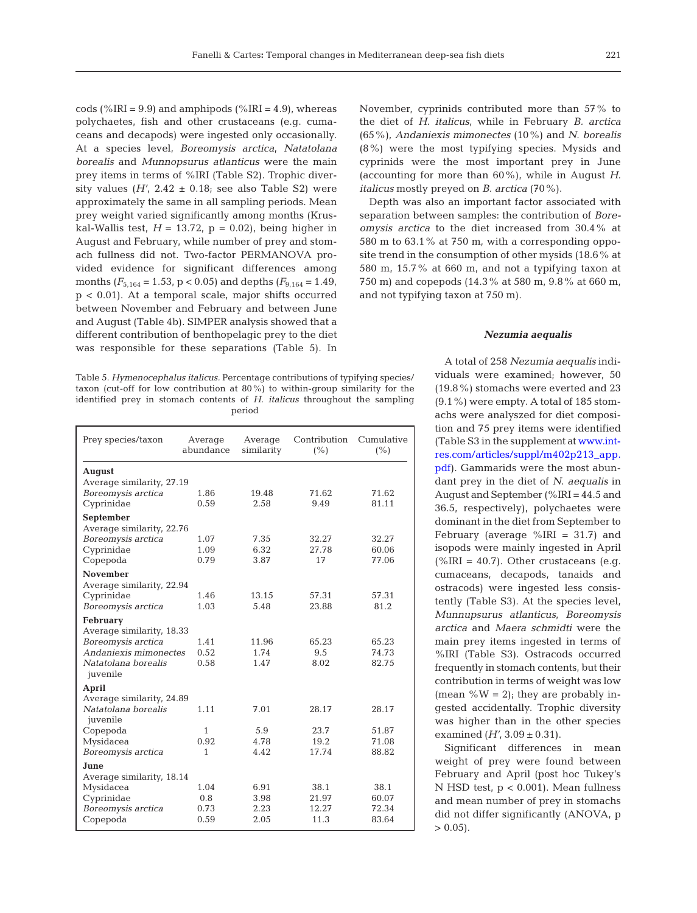cods (%IRI = 9.9) and amphipods (%IRI = 4.9), whereas polychaetes, fish and other crustaceans (e.g. cumaceans and decapods) were ingested only occasionally. At a species level, *Boreomysis arctica*, *Natatolana borealis* and *Munnopsurus atlanticus* were the main prey items in terms of %IRI (Table S2). Trophic diversity values  $(H'$ , 2.42  $\pm$  0.18; see also Table S2) were approximately the same in all sampling periods. Mean prey weight varied significantly among months (Kruskal-Wallis test,  $H = 13.72$ ,  $p = 0.02$ ), being higher in August and February, while number of prey and stomach fullness did not. Two-factor PERMANOVA provided evidence for significant differences among months ( $F_{5,164}$  = 1.53, p < 0.05) and depths ( $F_{9,164}$  = 1.49, p < 0.01). At a temporal scale, major shifts occurred between November and February and between June and August (Table 4b). SIMPER analysis showed that a different contribution of benthopelagic prey to the diet was responsible for these separations (Table 5). In

Table 5. *Hymenocephalus italicus.* Percentage contributions of typifying species/ taxon (cut-off for low contribution at 80%) to within-group similarity for the identified prey in stomach contents of *H. italicus* throughout the sampling period

| Prey species/taxon              | Average<br>abundance | Average<br>similarity | Contribution<br>(% ) | Cumulative<br>(%) |  |  |
|---------------------------------|----------------------|-----------------------|----------------------|-------------------|--|--|
| <b>August</b>                   |                      |                       |                      |                   |  |  |
| Average similarity, 27.19       |                      |                       |                      |                   |  |  |
| Boreomysis arctica              | 1.86                 | 19.48                 | 71.62                | 71.62             |  |  |
| Cyprinidae                      | 0.59                 | 2.58                  | 9.49                 | 81.11             |  |  |
| September                       |                      |                       |                      |                   |  |  |
| Average similarity, 22.76       |                      |                       |                      |                   |  |  |
| Boreomysis arctica              | 1.07                 | 7.35                  | 32.27                | 32.27             |  |  |
| Cyprinidae                      | 1.09                 | 6.32                  | 27.78                | 60.06             |  |  |
| Copepoda                        | 0.79                 | 3.87                  | 17                   | 77.06             |  |  |
| <b>November</b>                 |                      |                       |                      |                   |  |  |
| Average similarity, 22.94       |                      |                       |                      |                   |  |  |
| Cyprinidae                      | 1.46                 | 13.15                 | 57.31                | 57.31             |  |  |
| Boreomysis arctica              | 1.03                 | 5.48                  | 23.88                | 81.2              |  |  |
| <b>February</b>                 |                      |                       |                      |                   |  |  |
| Average similarity, 18.33       |                      |                       |                      |                   |  |  |
| Boreomysis arctica              | 1.41                 | 11.96                 | 65.23                | 65.23             |  |  |
| Andaniexis mimonectes           | 0.52                 | 1.74                  | 9.5                  | 74.73             |  |  |
| Natatolana borealis             | 0.58                 | 1.47                  | 8.02                 | 82.75             |  |  |
| juvenile                        |                      |                       |                      |                   |  |  |
| April                           |                      |                       |                      |                   |  |  |
| Average similarity, 24.89       |                      |                       |                      |                   |  |  |
| Natatolana borealis<br>juvenile | 1.11                 | 7.01                  | 28.17                | 28.17             |  |  |
| Copepoda                        | $\mathbf{1}$         | 5.9                   | 23.7                 | 51.87             |  |  |
| Mysidacea                       | 0.92                 | 4.78                  | 19.2                 | 71.08             |  |  |
| Boreomysis arctica              | 1                    | 4.42                  | 17.74                | 88.82             |  |  |
| <b>June</b>                     |                      |                       |                      |                   |  |  |
| Average similarity, 18.14       |                      |                       |                      |                   |  |  |
| Mysidacea                       | 1.04                 | 6.91                  | 38.1                 | 38.1              |  |  |
| Cyprinidae                      | 0.8                  | 3.98                  | 21.97                | 60.07             |  |  |
| Boreomysis arctica              | 0.73                 | 2.23                  | 12.27                | 72.34             |  |  |
| Copepoda                        | 0.59                 | 2.05                  | 11.3                 | 83.64             |  |  |

November, cyprinids contributed more than 57% to the diet of *H. italicus*, while in February *B. arctica* (65%), *Andaniexis mimonectes* (10%) and *N. borealis* (8%) were the most typifying species. Mysids and cyprinids were the most important prey in June (accounting for more than 60%), while in August *H. italicus* mostly preyed on *B. arctica* (70%).

Depth was also an important factor associated with separation between samples: the contribution of *Boreomysis arctica* to the diet increased from 30.4% at 580 m to 63.1% at 750 m, with a corresponding opposite trend in the consumption of other mysids (18.6% at 580 m, 15.7% at 660 m, and not a typifying taxon at 750 m) and copepods (14.3% at 580 m, 9.8% at 660 m, and not typifying taxon at 750 m).

#### *Nezumia aequalis*

A total of 258 *Nezumia aequalis* individuals were examined; however, 50 (19.8%) stomachs were everted and 23 (9.1%) were empty. A total of 185 stomachs were analyszed for diet composition and 75 prey items were identified (Table S3 in the supplement at [www.int](http://www.int-res.com/articles/suppl/m402p213_app.pdf)[res.com/articles/suppl/m402p213\\_app.](http://www.int-res.com/articles/suppl/m402p213_app.pdf) [pdf\)](http://www.int-res.com/articles/suppl/m402p213_app.pdf). Gammarids were the most abundant prey in the diet of *N. aequalis* in August and September (%IRI = 44.5 and 36.5, respectively), polychaetes were dominant in the diet from September to February (average %IRI = 31.7) and isopods were mainly ingested in April (%IRI =  $40.7$ ). Other crustaceans (e.g. cumaceans, decapods, tanaids and ostracods) were ingested less consistently (Table S3). At the species level, *Munnupsurus atlanticus*, *Boreomysis arctica* and *Maera schmidti* were the main prey items ingested in terms of %IRI (Table S3). Ostracods occurred frequently in stomach contents, but their contribution in terms of weight was low (mean  $\%W = 2$ ); they are probably ingested accidentally. Trophic diversity was higher than in the other species examined  $(H', 3.09 \pm 0.31)$ .

Significant differences in mean weight of prey were found between February and April (post hoc Tukey's N HSD test, p < 0.001). Mean fullness and mean number of prey in stomachs did not differ significantly (ANOVA, p  $> 0.05$ ).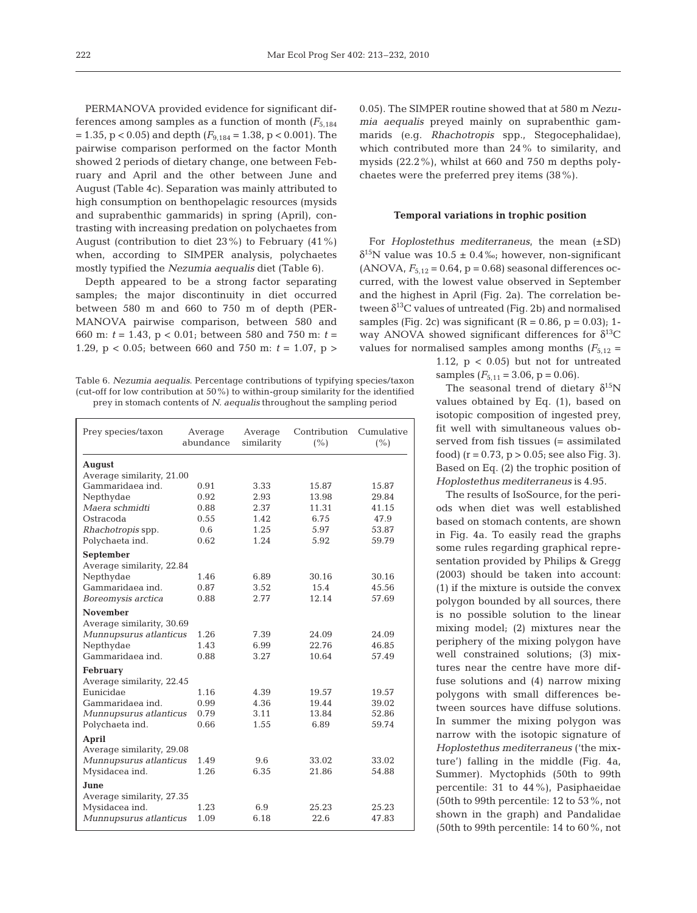PERMANOVA provided evidence for significant differences among samples as a function of month  $(F_{5,184})$  $= 1.35$ ,  $p < 0.05$ ) and depth ( $F_{9,184} = 1.38$ ,  $p < 0.001$ ). The pairwise comparison performed on the factor Month showed 2 periods of dietary change, one between February and April and the other between June and August (Table 4c). Separation was mainly attributed to high consumption on benthopelagic resources (mysids and suprabenthic gammarids) in spring (April), contrasting with increasing predation on polychaetes from August (contribution to diet 23%) to February (41%) when, according to SIMPER analysis, polychaetes mostly typified the *Nezumia aequalis* diet (Table 6).

Depth appeared to be a strong factor separating samples; the major discontinuity in diet occurred between 580 m and 660 to 750 m of depth (PER-MANOVA pairwise comparison, between 580 and 660 m: *t* = 1.43, p < 0.01; between 580 and 750 m: *t* = 1.29, p < 0.05; between 660 and 750 m: *t* = 1.07, p >

| Table 6. Nezumia aequalis. Percentage contributions of typifying species/taxon          |
|-----------------------------------------------------------------------------------------|
| (cut-off for low contribution at $50\%$ ) to within-group similarity for the identified |
| prey in stomach contents of N. aequalis throughout the sampling period                  |

| Prey species/taxon        | Average<br>abundance | Average<br>similarity | Contribution<br>(% ) | Cumulative<br>(%) |  |  |  |
|---------------------------|----------------------|-----------------------|----------------------|-------------------|--|--|--|
| <b>August</b>             |                      |                       |                      |                   |  |  |  |
| Average similarity, 21.00 |                      |                       |                      |                   |  |  |  |
| Gammaridaea ind.          | 0.91                 | 3.33                  | 15.87                | 15.87             |  |  |  |
| Nepthydae                 | 0.92                 | 2.93                  | 13.98                | 29.84             |  |  |  |
| Maera schmidti            | 0.88                 | 2.37                  | 11.31                | 41.15             |  |  |  |
| Ostracoda                 | 0.55                 | 1.42                  | 6.75                 | 47.9              |  |  |  |
| Rhachotropis spp.         | 0.6                  | 1.25                  | 5.97                 | 53.87             |  |  |  |
| Polychaeta ind.           | 0.62                 | 1.24                  | 5.92                 | 59.79             |  |  |  |
| September                 |                      |                       |                      |                   |  |  |  |
| Average similarity, 22.84 |                      |                       |                      |                   |  |  |  |
| Nepthydae                 | 1.46                 | 6.89                  | 30.16                | 30.16             |  |  |  |
| Gammaridaea ind.          | 0.87                 | 3.52                  | 15.4                 | 45.56             |  |  |  |
| Boreomysis arctica        | 0.88                 | 2.77                  | 12.14                | 57.69             |  |  |  |
| November                  |                      |                       |                      |                   |  |  |  |
| Average similarity, 30.69 |                      |                       |                      |                   |  |  |  |
| Munnupsurus atlanticus    | 1.26                 | 7.39                  | 24.09                | 24.09             |  |  |  |
| Nepthydae                 | 1.43                 | 6.99                  | 22.76                | 46.85             |  |  |  |
| Gammaridaea ind.          | 0.88                 | 3.27                  | 10.64                | 57.49             |  |  |  |
| <b>February</b>           |                      |                       |                      |                   |  |  |  |
| Average similarity, 22.45 |                      |                       |                      |                   |  |  |  |
| Eunicidae                 | 1.16                 | 4.39                  | 19.57                | 19.57             |  |  |  |
| Gammaridaea ind.          | 0.99                 | 4.36                  | 19.44                | 39.02             |  |  |  |
| Munnupsurus atlanticus    | 0.79                 | 3.11                  | 13.84                | 52.86             |  |  |  |
| Polychaeta ind.           | 0.66                 | 1.55                  | 6.89                 | 59.74             |  |  |  |
| April                     |                      |                       |                      |                   |  |  |  |
| Average similarity, 29.08 |                      |                       |                      |                   |  |  |  |
| Munnupsurus atlanticus    | 1.49                 | 9.6                   | 33.02                | 33.02             |  |  |  |
| Mysidacea ind.            | 1.26                 | 6.35                  | 21.86                | 54.88             |  |  |  |
| June                      |                      |                       |                      |                   |  |  |  |
| Average similarity, 27.35 |                      |                       |                      |                   |  |  |  |
| Mysidacea ind.            | 1.23                 | 6.9                   | 25.23                | 25.23             |  |  |  |
| Munnupsurus atlanticus    | 1.09                 | 6.18                  | 22.6                 | 47.83             |  |  |  |

0.05). The SIMPER routine showed that at 580 m *Nezumia aequalis* preyed mainly on suprabenthic gammarids (e.g. *Rhachotropis* spp., Stegocephalidae), which contributed more than 24% to similarity, and mysids (22.2%), whilst at 660 and 750 m depths polychaetes were the preferred prey items (38%).

## **Temporal variations in trophic position**

For *Hoplostethus mediterraneus*, the mean (±SD)  $\delta^{15}$ N value was 10.5 ± 0.4‰; however, non-significant  $(ANOVA, F_{5,12} = 0.64, p = 0.68)$  seasonal differences occurred, with the lowest value observed in September and the highest in April (Fig. 2a). The correlation between  $\delta^{13}$ C values of untreated (Fig. 2b) and normalised samples (Fig. 2c) was significant  $(R = 0.86, p = 0.03)$ ; 1way ANOVA showed significant differences for  $\delta^{13}C$ values for normalised samples among months  $(F_{5,12} =$ 

1.12,  $p < 0.05$ ) but not for untreated samples  $(F_{5,11} = 3.06, p = 0.06)$ .

The seasonal trend of dietary  $\delta^{15}N$ values obtained by Eq. (1), based on isotopic composition of ingested prey, fit well with simultaneous values observed from fish tissues (= assimilated food)  $(r = 0.73, p > 0.05;$  see also Fig. 3). Based on Eq. (2) the trophic position of *Hoplostethus mediterraneus* is 4.95.

The results of IsoSource, for the periods when diet was well established based on stomach contents, are shown in Fig. 4a. To easily read the graphs some rules regarding graphical representation provided by Philips & Gregg (2003) should be taken into account: (1) if the mixture is outside the convex polygon bounded by all sources, there is no possible solution to the linear mixing model; (2) mixtures near the periphery of the mixing polygon have well constrained solutions; (3) mixtures near the centre have more diffuse solutions and (4) narrow mixing polygons with small differences between sources have diffuse solutions. In summer the mixing polygon was narrow with the isotopic signature of *Hoplostethus mediterraneus* ('the mixture') falling in the middle (Fig. 4a, Summer). Myctophids (50th to 99th percentile: 31 to 44%), Pasiphaeidae (50th to 99th percentile: 12 to 53%, not shown in the graph) and Pandalidae (50th to 99th percentile: 14 to 60%, not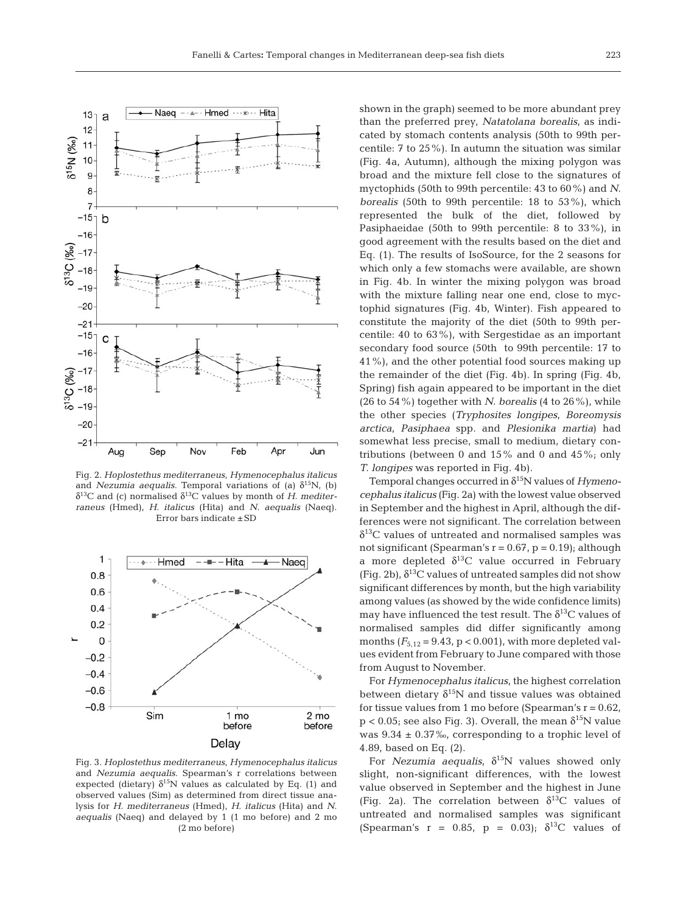

Fig. 2. *Hoplostethus mediterraneus*, *Hymenocephalus italicus* and *Nezumia aequalis*. Temporal variations of (a)  $\delta^{15}N$ , (b)  $δ<sup>13</sup>C$  and (c) normalised  $δ<sup>13</sup>C$  values by month of *H. mediterraneus* (Hmed), *H. italicus* (Hita) and *N. aequalis* (Naeq). Error bars indicate ±SD



Fig. 3. *Hoplostethus mediterraneus*, *Hymenocephalus italicus* and *Nezumia aequalis*. Spearman's r correlations between expected (dietary)  $\delta^{15}N$  values as calculated by Eq. (1) and observed values (Sim) as determined from direct tissue analysis for *H. mediterraneus* (Hmed), *H. italicus* (Hita) and *N. aequalis* (Naeq) and delayed by 1 (1 mo before) and 2 mo (2 mo before)

shown in the graph) seemed to be more abundant prey than the preferred prey, *Natatolana borealis*, as indicated by stomach contents analysis (50th to 99th percentile: 7 to 25%). In autumn the situation was similar (Fig. 4a, Autumn), although the mixing polygon was broad and the mixture fell close to the signatures of myctophids (50th to 99th percentile: 43 to 60%) and *N. borealis* (50th to 99th percentile: 18 to 53%), which represented the bulk of the diet, followed by Pasiphaeidae (50th to 99th percentile: 8 to 33%), in good agreement with the results based on the diet and Eq. (1). The results of IsoSource, for the 2 seasons for which only a few stomachs were available, are shown in Fig. 4b. In winter the mixing polygon was broad with the mixture falling near one end, close to myctophid signatures (Fig. 4b, Winter). Fish appeared to constitute the majority of the diet (50th to 99th percentile: 40 to 63%), with Sergestidae as an important secondary food source (50th to 99th percentile: 17 to 41%), and the other potential food sources making up the remainder of the diet (Fig. 4b). In spring (Fig. 4b, Spring) fish again appeared to be important in the diet (26 to 54%) together with *N. borealis* (4 to 26%), while the other species (*Tryphosites longipes*, *Boreomysis arctica*, *Pasiphaea* spp. and *Plesionika martia*) had somewhat less precise, small to medium, dietary contributions (between 0 and  $15\%$  and 0 and  $45\%$ ; only *T. longipes* was reported in Fig. 4b).

Temporal changes occurred in δ15N values of *Hymenocephalus italicus* (Fig. 2a) with the lowest value observed in September and the highest in April, although the differences were not significant. The correlation between  $\delta^{13}$ C values of untreated and normalised samples was not significant (Spearman's  $r = 0.67$ ,  $p = 0.19$ ); although a more depleted  $\delta^{13}$ C value occurred in February (Fig. 2b),  $\delta^{13}$ C values of untreated samples did not show significant differences by month, but the high variability among values (as showed by the wide confidence limits) may have influenced the test result. The  $\delta^{13}$ C values of normalised samples did differ significantly among months  $(F_{5,12} = 9.43, p < 0.001)$ , with more depleted values evident from February to June compared with those from August to November.

For *Hymenocephalus italicus*, the highest correlation between dietary  $\delta^{15}N$  and tissue values was obtained for tissue values from 1 mo before (Spearman's  $r = 0.62$ ,  $p < 0.05$ ; see also Fig. 3). Overall, the mean  $\delta^{15}N$  value was  $9.34 \pm 0.37\%$ , corresponding to a trophic level of 4.89, based on Eq. (2).

For *Nezumia aequalis*,  $\delta^{15}$ N values showed only slight, non-significant differences, with the lowest value observed in September and the highest in June (Fig. 2a). The correlation between  $\delta^{13}$ C values of untreated and normalised samples was significant (Spearman's r = 0.85, p = 0.03);  $\delta^{13}$ C values of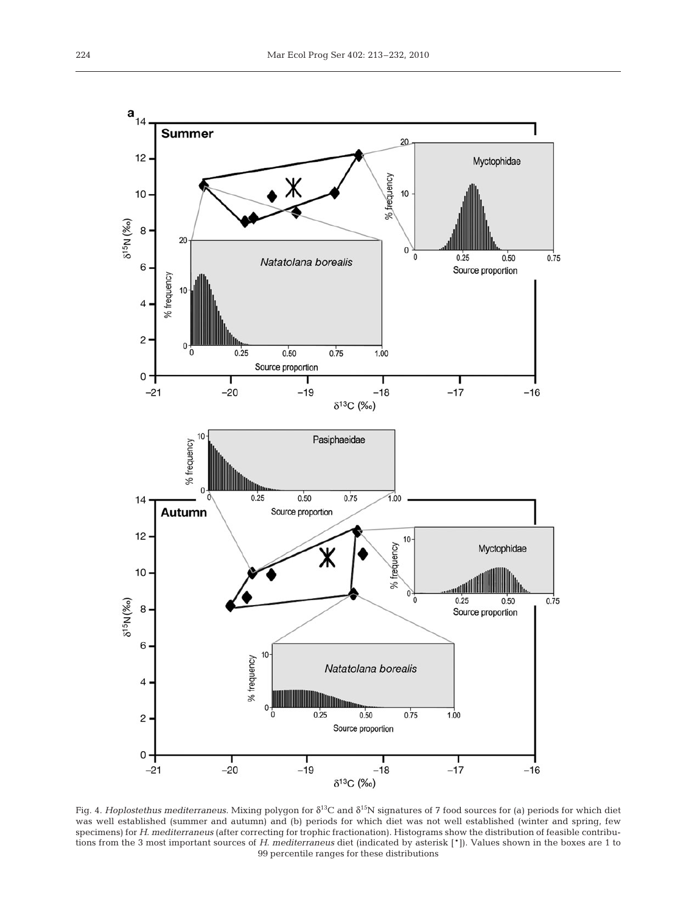

Fig. 4. *Hoplostethus mediterraneus*. Mixing polygon for δ<sup>13</sup>C and δ<sup>15</sup>N signatures of 7 food sources for (a) periods for which diet was well established (summer and autumn) and (b) periods for which diet was not well established (winter and spring, few specimens) for *H. mediterraneus* (after correcting for trophic fractionation). Histograms show the distribution of feasible contributions from the 3 most important sources of *H. mediterraneus* diet (indicated by asterisk [\*]). Values shown in the boxes are 1 to 99 percentile ranges for these distributions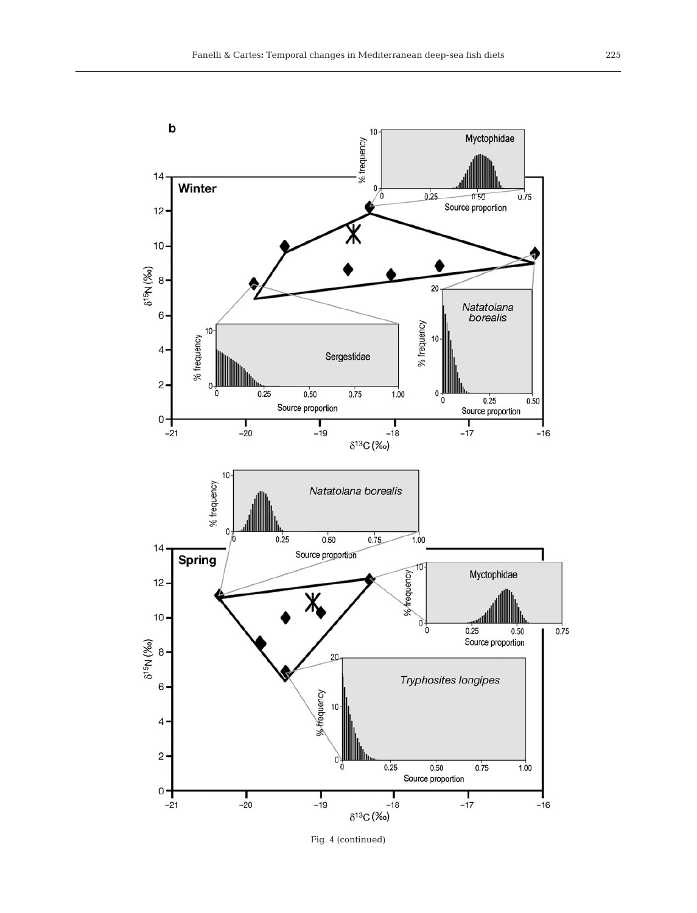

Fig. 4 (continued)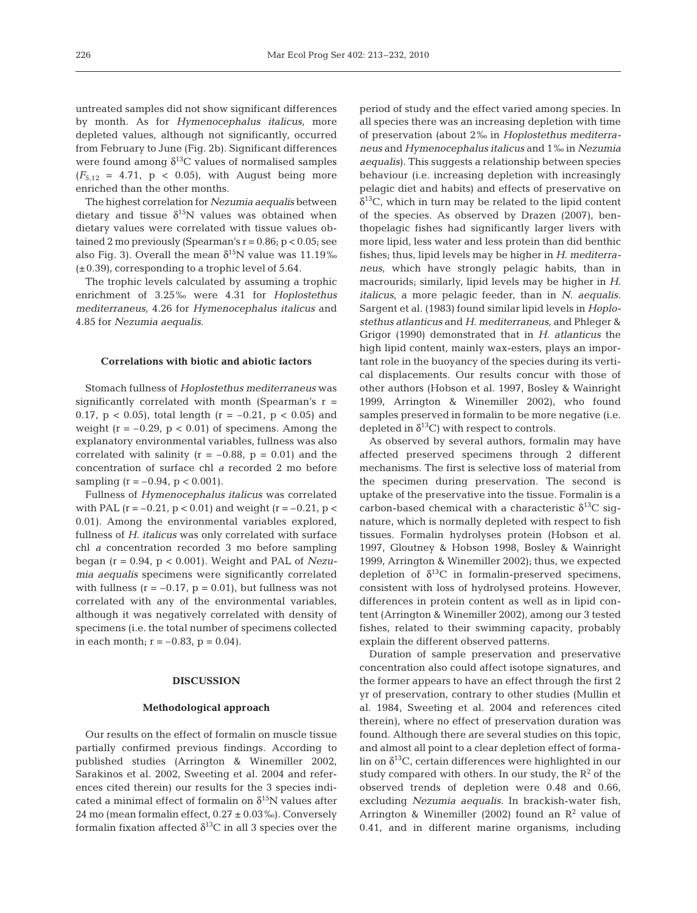untreated samples did not show significant differences by month. As for *Hymenocephalus italicus*, more depleted values, although not significantly, occurred from February to June (Fig. 2b). Significant differences were found among  $\delta^{13}$ C values of normalised samples  $(F_{5,12} = 4.71, p < 0.05)$ , with August being more enriched than the other months.

The highest correlation for *Nezumia aequalis* between dietary and tissue  $\delta^{15}N$  values was obtained when dietary values were correlated with tissue values obtained 2 mo previously (Spearman's  $r = 0.86$ ;  $p < 0.05$ ; see also Fig. 3). Overall the mean  $\delta^{15}N$  value was 11.19‰  $(\pm 0.39)$ , corresponding to a trophic level of 5.64.

The trophic levels calculated by assuming a trophic enrichment of 3.25‰ were 4.31 for *Hoplostethus mediterraneus*, 4.26 for *Hymenocephalus italicus* and 4.85 for *Nezumia aequalis*.

#### **Correlations with biotic and abiotic factors**

Stomach fullness of *Hoplostethus mediterraneus* was significantly correlated with month (Spearman's  $r =$ 0.17,  $p < 0.05$ , total length ( $r = -0.21$ ,  $p < 0.05$ ) and weight ( $r = -0.29$ ,  $p < 0.01$ ) of specimens. Among the explanatory environmental variables, fullness was also correlated with salinity  $(r = -0.88, p = 0.01)$  and the concentration of surface chl *a* recorded 2 mo before sampling  $(r = -0.94, p < 0.001)$ .

Fullness of *Hymenocephalus italicus* was correlated with PAL ( $r = -0.21$ ,  $p < 0.01$ ) and weight ( $r = -0.21$ ,  $p <$ 0.01). Among the environmental variables explored, fullness of *H. italicus* was only correlated with surface chl *a* concentration recorded 3 mo before sampling began (r = 0.94, p < 0.001). Weight and PAL of *Nezumia aequalis* specimens were significantly correlated with fullness  $(r = -0.17, p = 0.01)$ , but fullness was not correlated with any of the environmental variables, although it was negatively correlated with density of specimens (i.e. the total number of specimens collected in each month;  $r = -0.83$ ,  $p = 0.04$ ).

## **DISCUSSION**

#### **Methodological approach**

Our results on the effect of formalin on muscle tissue partially confirmed previous findings. According to published studies (Arrington & Winemiller 2002, Sarakinos et al. 2002, Sweeting et al. 2004 and references cited therein) our results for the 3 species indicated a minimal effect of formalin on  $\delta^{15}N$  values after 24 mo (mean formalin effect,  $0.27 \pm 0.03$  %%). Conversely formalin fixation affected  $\delta^{13}$ C in all 3 species over the period of study and the effect varied among species. In all species there was an increasing depletion with time of preservation (about 2‰ in *Hoplostethus mediterraneus* and *Hymenocephalus italicus* and 1‰ in *Nezumia aequalis*). This suggests a relationship between species behaviour (i.e. increasing depletion with increasingly pelagic diet and habits) and effects of preservative on  $\delta^{13}$ C, which in turn may be related to the lipid content of the species. As observed by Drazen (2007), benthopelagic fishes had significantly larger livers with more lipid, less water and less protein than did benthic fishes; thus, lipid levels may be higher in *H. mediterraneus*, which have strongly pelagic habits, than in macrourids; similarly, lipid levels may be higher in *H. italicus*, a more pelagic feeder, than in *N. aequalis*. Sargent et al. (1983) found similar lipid levels in *Hoplostethus atlanticus* and *H. mediterraneus*, and Phleger & Grigor (1990) demonstrated that in *H. atlanticus* the high lipid content, mainly wax-esters, plays an important role in the buoyancy of the species during its vertical displacements. Our results concur with those of other authors (Hobson et al. 1997, Bosley & Wainright 1999, Arrington & Winemiller 2002), who found samples preserved in formalin to be more negative (i.e. depleted in  $\delta^{13}$ C) with respect to controls.

As observed by several authors, formalin may have affected preserved specimens through 2 different mechanisms. The first is selective loss of material from the specimen during preservation. The second is uptake of the preservative into the tissue. Formalin is a carbon-based chemical with a characteristic  $\delta^{13}C$  signature, which is normally depleted with respect to fish tissues. Formalin hydrolyses protein (Hobson et al. 1997, Gloutney & Hobson 1998, Bosley & Wainright 1999, Arrington & Winemiller 2002); thus, we expected depletion of  $\delta^{13}$ C in formalin-preserved specimens, consistent with loss of hydrolysed proteins. However, differences in protein content as well as in lipid content (Arrington & Winemiller 2002), among our 3 tested fishes, related to their swimming capacity, probably explain the different observed patterns.

Duration of sample preservation and preservative concentration also could affect isotope signatures, and the former appears to have an effect through the first 2 yr of preservation, contrary to other studies (Mullin et al. 1984, Sweeting et al. 2004 and references cited therein), where no effect of preservation duration was found. Although there are several studies on this topic, and almost all point to a clear depletion effect of formalin on  $\delta^{13}C$ , certain differences were highlighted in our study compared with others. In our study, the  $\mathbb{R}^2$  of the observed trends of depletion were 0.48 and 0.66, excluding *Nezumia aequalis*. In brackish-water fish, Arrington & Winemiller (2002) found an  $\mathbb{R}^2$  value of 0.41, and in different marine organisms, including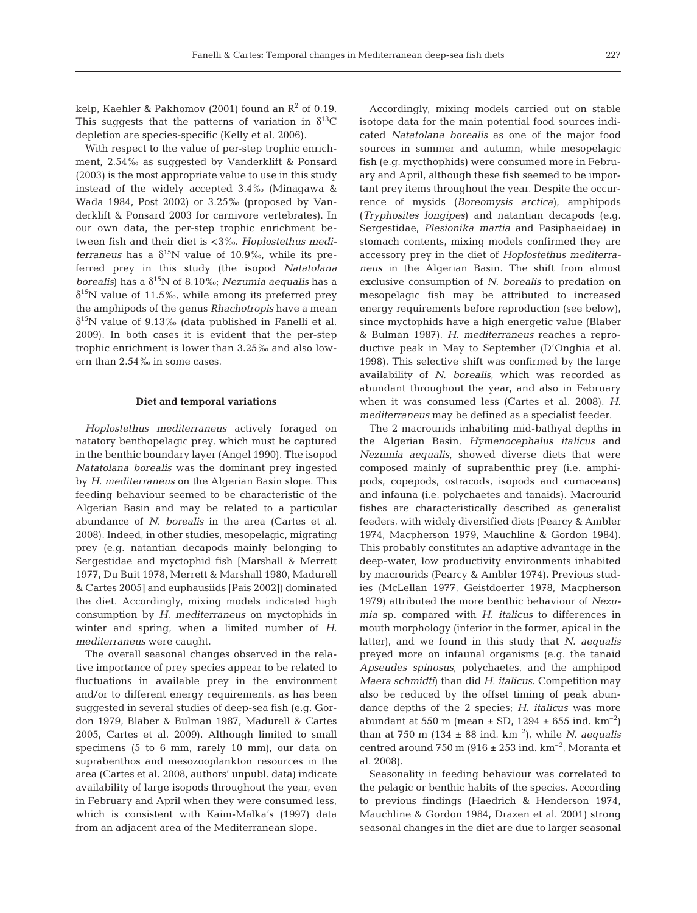kelp, Kaehler & Pakhomov (2001) found an  $R^2$  of 0.19. This suggests that the patterns of variation in  $\delta^{13}C$ depletion are species-specific (Kelly et al. 2006).

With respect to the value of per-step trophic enrichment, 2.54‰ as suggested by Vanderklift & Ponsard (2003) is the most appropriate value to use in this study instead of the widely accepted 3.4‰ (Minagawa & Wada 1984, Post 2002) or 3.25‰ (proposed by Vanderklift & Ponsard 2003 for carnivore vertebrates). In our own data, the per-step trophic enrichment between fish and their diet is <3‰. *Hoplostethus mediterraneus* has a  $\delta^{15}N$  value of 10.9‰, while its preferred prey in this study (the isopod *Natatolana borealis*) has a  $\delta^{15}N$  of 8.10‰; *Nezumia aequalis* has a  $\delta^{15}$ N value of 11.5‰, while among its preferred prey the amphipods of the genus *Rhachotropis* have a mean  $\delta^{15}$ N value of 9.13‰ (data published in Fanelli et al. 2009). In both cases it is evident that the per-step trophic enrichment is lower than 3.25‰ and also lowern than 2.54‰ in some cases.

#### **Diet and temporal variations**

*Hoplostethus mediterraneus* actively foraged on natatory benthopelagic prey, which must be captured in the benthic boundary layer (Angel 1990). The isopod *Natatolana borealis* was the dominant prey ingested by *H. mediterraneus* on the Algerian Basin slope. This feeding behaviour seemed to be characteristic of the Algerian Basin and may be related to a particular abundance of *N. borealis* in the area (Cartes et al. 2008). Indeed, in other studies, mesopelagic, migrating prey (e.g. natantian decapods mainly belonging to Sergestidae and myctophid fish [Marshall & Merrett 1977, Du Buit 1978, Merrett & Marshall 1980, Madurell & Cartes 2005] and euphausiids [Pais 2002]) dominated the diet. Accordingly, mixing models indicated high consumption by *H. mediterraneus* on myctophids in winter and spring, when a limited number of *H. mediterraneus* were caught.

The overall seasonal changes observed in the relative importance of prey species appear to be related to fluctuations in available prey in the environment and/or to different energy requirements, as has been suggested in several studies of deep-sea fish (e.g. Gordon 1979, Blaber & Bulman 1987, Madurell & Cartes 2005, Cartes et al. 2009). Although limited to small specimens (5 to 6 mm, rarely 10 mm), our data on suprabenthos and mesozooplankton resources in the area (Cartes et al. 2008, authors' unpubl. data) indicate availability of large isopods throughout the year, even in February and April when they were consumed less, which is consistent with Kaim-Malka's (1997) data from an adjacent area of the Mediterranean slope.

Accordingly, mixing models carried out on stable isotope data for the main potential food sources indicated *Natatolana borealis* as one of the major food sources in summer and autumn, while mesopelagic fish (e.g. mycthophids) were consumed more in February and April, although these fish seemed to be important prey items throughout the year. Despite the occurrence of mysids (*Boreomysis arctica*), amphipods (*Tryphosites longipes*) and natantian decapods (e.g. Sergestidae, *Plesionika martia* and Pasiphaeidae) in stomach contents, mixing models confirmed they are accessory prey in the diet of *Hoplostethus mediterraneus* in the Algerian Basin. The shift from almost exclusive consumption of *N. borealis* to predation on mesopelagic fish may be attributed to increased energy requirements before reproduction (see below), since myctophids have a high energetic value (Blaber & Bulman 1987). *H. mediterraneus* reaches a reproductive peak in May to September (D'Onghia et al. 1998). This selective shift was confirmed by the large availability of *N. borealis*, which was recorded as abundant throughout the year, and also in February when it was consumed less (Cartes et al. 2008). *H. mediterraneus* may be defined as a specialist feeder.

The 2 macrourids inhabiting mid-bathyal depths in the Algerian Basin, *Hymenocephalus italicus* and *Nezumia aequalis*, showed diverse diets that were composed mainly of suprabenthic prey (i.e. amphipods, copepods, ostracods, isopods and cumaceans) and infauna (i.e. polychaetes and tanaids). Macrourid fishes are characteristically described as generalist feeders, with widely diversified diets (Pearcy & Ambler 1974, Macpherson 1979, Mauchline & Gordon 1984). This probably constitutes an adaptive advantage in the deep-water, low productivity environments inhabited by macrourids (Pearcy & Ambler 1974). Previous studies (McLellan 1977, Geistdoerfer 1978, Macpherson 1979) attributed the more benthic behaviour of *Nezumia* sp. compared with *H. italicus* to differences in mouth morphology (inferior in the former, apical in the latter), and we found in this study that *N. aequalis* preyed more on infaunal organisms (e.g. the tanaid *Apseudes spinosus*, polychaetes, and the amphipod *Maera schmidti*) than did *H. italicus*. Competition may also be reduced by the offset timing of peak abundance depths of the 2 species; *H. italicus* was more abundant at 550 m (mean  $\pm$  SD, 1294  $\pm$  655 ind. km<sup>-2</sup>) than at 750 m (134  $\pm$  88 ind. km<sup>-2</sup>), while *N. aequalis* centred around 750 m (916  $\pm$  253 ind. km<sup>-2</sup>, Moranta et al. 2008).

Seasonality in feeding behaviour was correlated to the pelagic or benthic habits of the species. According to previous findings (Haedrich & Henderson 1974, Mauchline & Gordon 1984, Drazen et al. 2001) strong seasonal changes in the diet are due to larger seasonal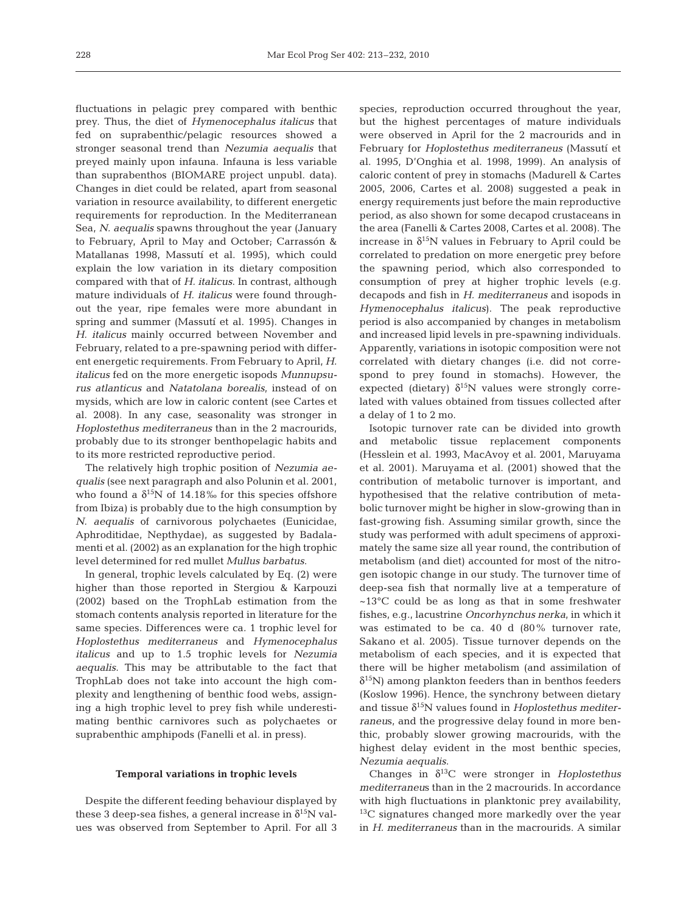fluctuations in pelagic prey compared with benthic prey. Thus, the diet of *Hymenocephalus italicus* that fed on suprabenthic/pelagic resources showed a stronger seasonal trend than *Nezumia aequalis* that preyed mainly upon infauna. Infauna is less variable than suprabenthos (BIOMARE project unpubl. data). Changes in diet could be related, apart from seasonal variation in resource availability, to different energetic requirements for reproduction. In the Mediterranean Sea, *N. aequalis* spawns throughout the year (January to February, April to May and October; Carrassón & Matallanas 1998, Massutí et al. 1995), which could explain the low variation in its dietary composition compared with that of *H. italicus*. In contrast, although mature individuals of *H. italicus* were found throughout the year, ripe females were more abundant in spring and summer (Massutí et al. 1995). Changes in *H. italicus* mainly occurred between November and February, related to a pre-spawning period with different energetic requirements. From February to April, *H. italicus* fed on the more energetic isopods *Munnupsurus atlanticus* and *Natatolana borealis*, instead of on mysids, which are low in caloric content (see Cartes et al. 2008). In any case, seasonality was stronger in *Hoplostethus mediterraneus* than in the 2 macrourids, probably due to its stronger benthopelagic habits and to its more restricted reproductive period.

The relatively high trophic position of *Nezumia aequalis* (see next paragraph and also Polunin et al. 2001, who found a  $\delta^{15}N$  of 14.18% for this species offshore from Ibiza) is probably due to the high consumption by *N. aequalis* of carnivorous polychaetes (Eunicidae, Aphroditidae, Nepthydae), as suggested by Badalamenti et al. (2002) as an explanation for the high trophic level determined for red mullet *Mullus barbatus*.

In general, trophic levels calculated by Eq. (2) were higher than those reported in Stergiou & Karpouzi (2002) based on the TrophLab estimation from the stomach contents analysis reported in literature for the same species. Differences were ca*.* 1 trophic level for *Hoplostethus mediterraneus* and *Hymenocephalus italicus* and up to 1.5 trophic levels for *Nezumia aequalis*. This may be attributable to the fact that TrophLab does not take into account the high complexity and lengthening of benthic food webs, assigning a high trophic level to prey fish while underestimating benthic carnivores such as polychaetes or suprabenthic amphipods (Fanelli et al. in press).

#### **Temporal variations in trophic levels**

Despite the different feeding behaviour displayed by these 3 deep-sea fishes, a general increase in  $\delta^{15}N$  values was observed from September to April. For all 3 species, reproduction occurred throughout the year, but the highest percentages of mature individuals were observed in April for the 2 macrourids and in February for *Hoplostethus mediterraneus* (Massutí et al. 1995, D'Onghia et al. 1998, 1999). An analysis of caloric content of prey in stomachs (Madurell & Cartes 2005, 2006, Cartes et al. 2008) suggested a peak in energy requirements just before the main reproductive period, as also shown for some decapod crustaceans in the area (Fanelli & Cartes 2008, Cartes et al. 2008). The increase in  $\delta^{15}$ N values in February to April could be correlated to predation on more energetic prey before the spawning period, which also corresponded to consumption of prey at higher trophic levels (e.g. decapods and fish in *H. mediterraneus* and isopods in *Hymenocephalus italicus*). The peak reproductive period is also accompanied by changes in metabolism and increased lipid levels in pre-spawning individuals. Apparently, variations in isotopic composition were not correlated with dietary changes (i.e. did not correspond to prey found in stomachs). However, the expected (dietary)  $\delta^{15}N$  values were strongly correlated with values obtained from tissues collected after a delay of 1 to 2 mo.

Isotopic turnover rate can be divided into growth and metabolic tissue replacement components (Hesslein et al. 1993, MacAvoy et al. 2001, Maruyama et al. 2001). Maruyama et al. (2001) showed that the contribution of metabolic turnover is important, and hypothesised that the relative contribution of metabolic turnover might be higher in slow-growing than in fast-growing fish. Assuming similar growth, since the study was performed with adult specimens of approximately the same size all year round, the contribution of metabolism (and diet) accounted for most of the nitrogen isotopic change in our study. The turnover time of deep-sea fish that normally live at a temperature of  $~13^{\circ}$ C could be as long as that in some freshwater fishes, e.g., lacustrine *Oncorhynchus nerka*, in which it was estimated to be ca. 40 d (80% turnover rate, Sakano et al. 2005). Tissue turnover depends on the metabolism of each species, and it is expected that there will be higher metabolism (and assimilation of  $\delta^{15}$ N) among plankton feeders than in benthos feeders (Koslow 1996). Hence, the synchrony between dietary and tissue δ15N values found in *Hoplostethus mediterraneu*s, and the progressive delay found in more benthic, probably slower growing macrourids, with the highest delay evident in the most benthic species, *Nezumia aequalis*.

Changes in δ13C were stronger in *Hoplostethus mediterraneu*s than in the 2 macrourids. In accordance with high fluctuations in planktonic prey availability,  $13C$  signatures changed more markedly over the year in *H. mediterraneus* than in the macrourids. A similar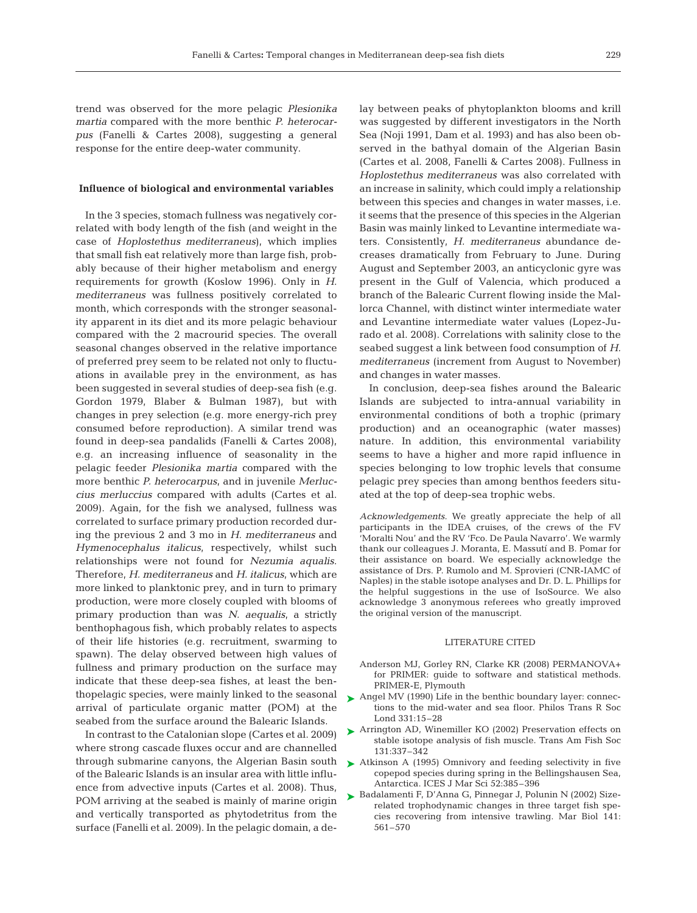trend was observed for the more pelagic *Plesionika martia* compared with the more benthic *P. heterocarpus* (Fanelli & Cartes 2008), suggesting a general response for the entire deep-water community.

#### **Influence of biological and environmental variables**

In the 3 species, stomach fullness was negatively correlated with body length of the fish (and weight in the case of *Hoplostethus mediterraneus*), which implies that small fish eat relatively more than large fish, probably because of their higher metabolism and energy requirements for growth (Koslow 1996). Only in *H. mediterraneus* was fullness positively correlated to month, which corresponds with the stronger seasonality apparent in its diet and its more pelagic behaviour compared with the 2 macrourid species. The overall seasonal changes observed in the relative importance of preferred prey seem to be related not only to fluctuations in available prey in the environment, as has been suggested in several studies of deep-sea fish (e.g. Gordon 1979, Blaber & Bulman 1987), but with changes in prey selection (e.g. more energy-rich prey consumed before reproduction). A similar trend was found in deep-sea pandalids (Fanelli & Cartes 2008), e.g. an increasing influence of seasonality in the pelagic feeder *Plesionika martia* compared with the more benthic *P. heterocarpus*, and in juvenile *Merluccius merluccius* compared with adults (Cartes et al. 2009). Again, for the fish we analysed, fullness was correlated to surface primary production recorded during the previous 2 and 3 mo in *H. mediterraneus* and *Hymenocephalus italicus*, respectively, whilst such relationships were not found for *Nezumia aqualis*. Therefore, *H. mediterraneus* and *H. italicus*, which are more linked to planktonic prey, and in turn to primary production, were more closely coupled with blooms of primary production than was *N. aequalis*, a strictly benthophagous fish, which probably relates to aspects of their life histories (e.g. recruitment, swarming to spawn). The delay observed between high values of fullness and primary production on the surface may indicate that these deep-sea fishes, at least the benthopelagic species, were mainly linked to the seasonal arrival of particulate organic matter (POM) at the seabed from the surface around the Balearic Islands.

In contrast to the Catalonian slope (Cartes et al. 2009) where strong cascade fluxes occur and are channelled through submarine canyons, the Algerian Basin south of the Balearic Islands is an insular area with little influence from advective inputs (Cartes et al. 2008). Thus, POM arriving at the seabed is mainly of marine origin and vertically transported as phytodetritus from the surface (Fanelli et al. 2009). In the pelagic domain, a delay between peaks of phytoplankton blooms and krill was suggested by different investigators in the North Sea (Noji 1991, Dam et al. 1993) and has also been observed in the bathyal domain of the Algerian Basin (Cartes et al. 2008, Fanelli & Cartes 2008). Fullness in *Hoplostethus mediterraneus* was also correlated with an increase in salinity, which could imply a relationship between this species and changes in water masses, i.e. it seems that the presence of this species in the Algerian Basin was mainly linked to Levantine intermediate waters. Consistently, *H. mediterraneus* abundance decreases dramatically from February to June. During August and September 2003, an anticyclonic gyre was present in the Gulf of Valencia, which produced a branch of the Balearic Current flowing inside the Mallorca Channel, with distinct winter intermediate water and Levantine intermediate water values (Lopez-Jurado et al. 2008). Correlations with salinity close to the seabed suggest a link between food consumption of *H. mediterraneus* (increment from August to November) and changes in water masses.

In conclusion, deep-sea fishes around the Balearic Islands are subjected to intra-annual variability in environmental conditions of both a trophic (primary production) and an oceanographic (water masses) nature. In addition, this environmental variability seems to have a higher and more rapid influence in species belonging to low trophic levels that consume pelagic prey species than among benthos feeders situated at the top of deep-sea trophic webs.

*Acknowledgements*. We greatly appreciate the help of all participants in the IDEA cruises, of the crews of the FV 'Moralti Nou' and the RV 'Fco. De Paula Navarro'. We warmly thank our colleagues J. Moranta, E. Massutí and B. Pomar for their assistance on board. We especially acknowledge the assistance of Drs. P. Rumolo and M. Sprovieri (CNR-IAMC of Naples) in the stable isotope analyses and Dr. D. L. Phillips for the helpful suggestions in the use of IsoSource. We also acknowledge 3 anonymous referees who greatly improved the original version of the manuscript.

## LITERATURE CITED

- Anderson MJ, Gorley RN, Clarke KR (2008) PERMANOVA+ for PRIMER: guide to software and statistical methods. PRIMER-E, Plymouth
- ▶ Angel MV (1990) Life in the benthic boundary layer: connections to the mid-water and sea floor. Philos Trans R Soc Lond 331:15–28
- ▶ Arrington AD, Winemiller KO (2002) Preservation effects on stable isotope analysis of fish muscle. Trans Am Fish Soc 131:337–342
- ▶ Atkinson A (1995) Omnivory and feeding selectivity in five copepod species during spring in the Bellingshausen Sea, Antarctica. ICES J Mar Sci 52:385–396
- ► Badalamenti F, D'Anna G, Pinnegar J, Polunin N (2002) Sizerelated trophodynamic changes in three target fish species recovering from intensive trawling. Mar Biol 141: 561–570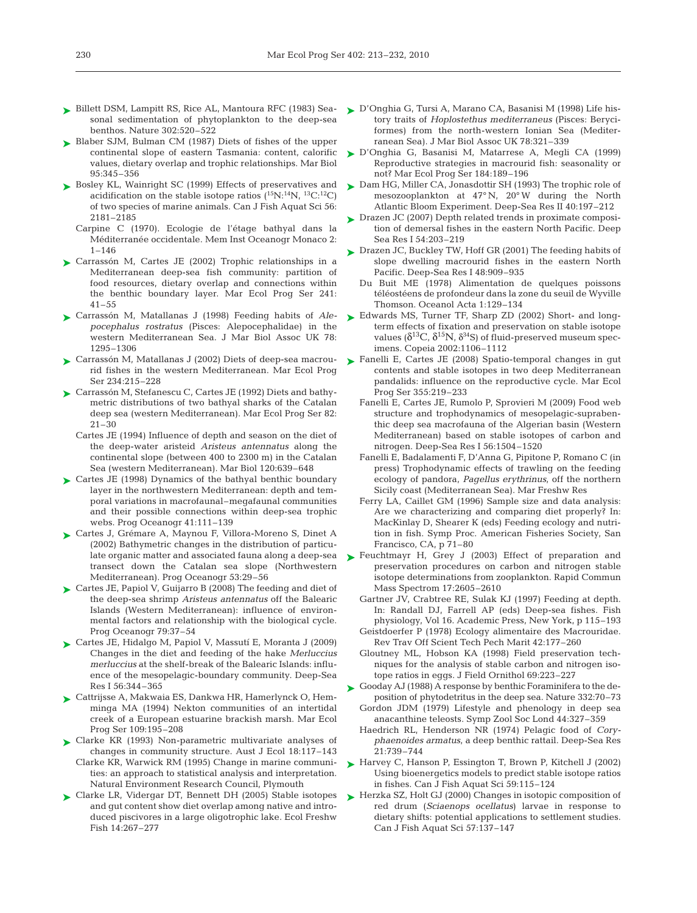- ► Billett DSM, Lampitt RS, Rice AL, Mantoura RFC (1983) Seasonal sedimentation of phytoplankton to the deep-sea benthos. Nature 302:520–522
- ► Blaber SJM, Bulman CM (1987) Diets of fishes of the upper continental slope of eastern Tasmania: content, calorific values, dietary overlap and trophic relationships. Mar Biol 95:345–356
- ► Bosley KL, Wainright SC (1999) Effects of preservatives and acidification on the stable isotope ratios ( $^{15}N:^{14}N$ ,  $^{13}C:^{12}C$ ) of two species of marine animals. Can J Fish Aquat Sci 56: 2181–2185
	- Carpine C (1970). Ecologie de l'étage bathyal dans la Méditerranée occidentale. Mem Inst Oceanogr Monaco 2: 1–146
- ► Carrassón M, Cartes JE (2002) Trophic relationships in a Mediterranean deep-sea fish community: partition of food resources, dietary overlap and connections within the benthic boundary layer. Mar Ecol Prog Ser 241:  $41 - 55$
- Carrassón M, Matallanas J (1998) Feeding habits of *Ale-*➤ *pocephalus rostratus* (Pisces: Alepocephalidae) in the western Mediterranean Sea. J Mar Biol Assoc UK 78: 1295–1306
- ► Carrassón M, Matallanas J (2002) Diets of deep-sea macrourid fishes in the western Mediterranean. Mar Ecol Prog Ser 234:215–228
- Carrassón M, Stefanescu C, Cartes JE (1992) Diets and bathy-➤ metric distributions of two bathyal sharks of the Catalan deep sea (western Mediterranean). Mar Ecol Prog Ser 82:  $21 - 30$ 
	- Cartes JE (1994) Influence of depth and season on the diet of the deep-water aristeid *Aristeus antennatus* along the continental slope (between 400 to 2300 m) in the Catalan Sea (western Mediterranean). Mar Biol 120:639–648
- ► Cartes JE (1998) Dynamics of the bathyal benthic boundary layer in the northwestern Mediterranean: depth and temporal variations in macrofaunal–megafaunal communities and their possible connections within deep-sea trophic webs. Prog Oceanogr 41:111–139
- ► Cartes J, Grémare A, Maynou F, Villora-Moreno S, Dinet A (2002) Bathymetric changes in the distribution of particulate organic matter and associated fauna along a deep-sea transect down the Catalan sea slope (Northwestern Mediterranean). Prog Oceanogr 53:29–56
- ► Cartes JE, Papiol V, Guijarro B (2008) The feeding and diet of the deep-sea shrimp *Aristeus antennatus* off the Balearic Islands (Western Mediterranean): influence of environmental factors and relationship with the biological cycle. Prog Oceanogr 79:37–54
- Cartes JE, Hidalgo M, Papiol V, Massutí E, Moranta J (2009) ➤ Changes in the diet and feeding of the hake *Merluccius merluccius* at the shelf-break of the Balearic Islands: influence of the mesopelagic-boundary community. Deep-Sea Res I 56:344–365
- ► Cattrijsse A, Makwaia ES, Dankwa HR, Hamerlynck O, Hemminga MA (1994) Nekton communities of an intertidal creek of a European estuarine brackish marsh. Mar Ecol Prog Ser 109:195–208
- ▶ Clarke KR (1993) Non-parametric multivariate analyses of changes in community structure. Aust J Ecol 18:117–143 Clarke KR, Warwick RM (1995) Change in marine communities: an approach to statistical analysis and interpretation. Natural Environment Research Council, Plymouth
- Clarke LR, Vidergar DT, Bennett DH (2005) Stable isotopes ➤ and gut content show diet overlap among native and introduced piscivores in a large oligotrophic lake. Ecol Freshw Fish 14:267–277
- ► D'Onghia G, Tursi A, Marano CA, Basanisi M (1998) Life history traits of *Hoplostethus mediterraneus* (Pisces: Beryciformes) from the north-western Ionian Sea (Mediterranean Sea). J Mar Biol Assoc UK 78:321–339
- D'Onghia G, Basanisi M, Matarrese A, Megli CA (1999) ➤ Reproductive strategies in macrourid fish: seasonality or not? Mar Ecol Prog Ser 184:189–196
- ► Dam HG, Miller CA, Jonasdottir SH (1993) The trophic role of mesozooplankton at 47° N, 20° W during the North Atlantic Bloom Experiment. Deep-Sea Res II 40:197–212
- ► Drazen JC (2007) Depth related trends in proximate composition of demersal fishes in the eastern North Pacific. Deep Sea Res I 54:203–219
- ► Drazen JC, Buckley TW, Hoff GR (2001) The feeding habits of slope dwelling macrourid fishes in the eastern North Pacific. Deep-Sea Res I 48:909–935
	- Du Buit ME (1978) Alimentation de quelques poissons téléostéens de profondeur dans la zone du seuil de Wyville Thomson. Oceanol Acta 1:129–134
- ► Edwards MS, Turner TF, Sharp ZD (2002) Short- and longterm effects of fixation and preservation on stable isotope values ( $\delta^{13}C$ ,  $\delta^{15}N$ ,  $\delta^{34}S$ ) of fluid-preserved museum specimens. Copeia 2002:1106–1112
- ► Fanelli E, Cartes JE (2008) Spatio-temporal changes in gut contents and stable isotopes in two deep Mediterranean pandalids: influence on the reproductive cycle. Mar Ecol Prog Ser 355:219–233
	- Fanelli E, Cartes JE, Rumolo P, Sprovieri M (2009) Food web structure and trophodynamics of mesopelagic-suprabenthic deep sea macrofauna of the Algerian basin (Western Mediterranean) based on stable isotopes of carbon and nitrogen. Deep-Sea Res I 56:1504–1520
	- Fanelli E, Badalamenti F, D'Anna G, Pipitone P, Romano C (in press) Trophodynamic effects of trawling on the feeding ecology of pandora, *Pagellus erythrinus*, off the northern Sicily coast (Mediterranean Sea). Mar Freshw Res
	- Ferry LA, Caillet GM (1996) Sample size and data analysis: Are we characterizing and comparing diet properly? In: MacKinlay D, Shearer K (eds) Feeding ecology and nutrition in fish. Symp Proc. American Fisheries Society, San Francisco, CA, p 71–80
- ▶ Feuchtmayr H, Grey J (2003) Effect of preparation and preservation procedures on carbon and nitrogen stable isotope determinations from zooplankton. Rapid Commun Mass Spectrom 17:2605–2610
	- Gartner JV, Crabtree RE, Sulak KJ (1997) Feeding at depth. In: Randall DJ, Farrell AP (eds) Deep-sea fishes. Fish physiology, Vol 16. Academic Press, New York, p 115–193
	- Geistdoerfer P (1978) Ecology alimentaire des Macrouridae. Rev Trav Off Scient Tech Pech Marit 42:177–260
	- Gloutney ML, Hobson KA (1998) Field preservation techniques for the analysis of stable carbon and nitrogen isotope ratios in eggs. J Field Ornithol 69:223–227
- ► Gooday AJ (1988) A response by benthic Foraminifera to the deposition of phytodetritus in the deep sea. Nature 332:70–73
	- Gordon JDM (1979) Lifestyle and phenology in deep sea anacanthine teleosts. Symp Zool Soc Lond 44:327–359
	- Haedrich RL, Henderson NR (1974) Pelagic food of *Coryphaenoides armatus*, a deep benthic rattail. Deep-Sea Res 21:739–744
- ► Harvey C, Hanson P, Essington T, Brown P, Kitchell J (2002) Using bioenergetics models to predict stable isotope ratios in fishes. Can J Fish Aquat Sci 59:115–124
- ► Herzka SZ, Holt GJ (2000) Changes in isotopic composition of red drum (*Sciaenops ocellatus*) larvae in response to dietary shifts: potential applications to settlement studies. Can J Fish Aquat Sci 57:137–147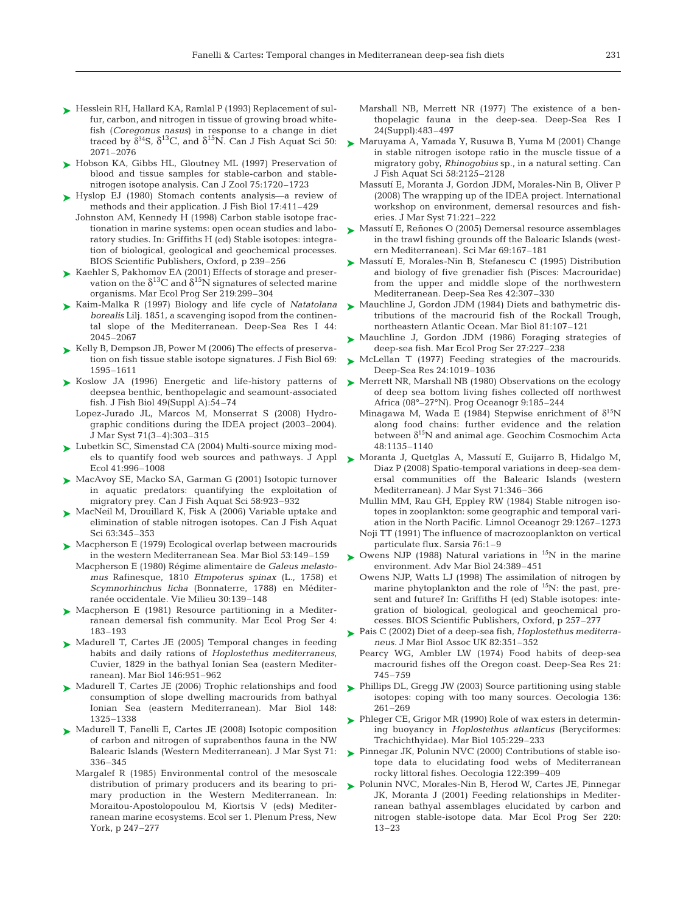- ► Hesslein RH, Hallard KA, Ramlal P (1993) Replacement of sulfur, carbon, and nitrogen in tissue of growing broad whitefish (*Coregonus nasus*) in response to a change in diet traced by  $\delta^{34}S$ ,  $\delta^{13}C$ , and  $\delta^{15}N$ . Can J Fish Aquat Sci 50: 2071–2076
- ► Hobson KA, Gibbs HL, Gloutney ML (1997) Preservation of blood and tissue samples for stable-carbon and stablenitrogen isotope analysis. Can J Zool 75:1720–1723
- ► Hyslop EJ (1980) Stomach contents analysis—a review of methods and their application. J Fish Biol 17:411–429
	- Johnston AM, Kennedy H (1998) Carbon stable isotope fractionation in marine systems: open ocean studies and laboratory studies. In: Griffiths H (ed) Stable isotopes: integration of biological, geological and geochemical processes. BIOS Scientific Publishers, Oxford, p 239–256
- ► Kaehler S, Pakhomov EA (2001) Effects of storage and preservation on the  $\delta^{13}C$  and  $\delta^{15}N$  signatures of selected marine organisms. Mar Ecol Prog Ser 219:299–304
- ► Kaim-Malka R (1997) Biology and life cycle of *Natatolana borealis* Lilj. 1851, a scavenging isopod from the continental slope of the Mediterranean. Deep-Sea Res I 44: 2045–2067
- ► Kelly B, Dempson JB, Power M (2006) The effects of preservation on fish tissue stable isotope signatures. J Fish Biol 69: 1595–1611
- ► Koslow JA (1996) Energetic and life-history patterns of deepsea benthic, benthopelagic and seamount-associated fish. J Fish Biol 49(Suppl A):54–74
	- Lopez-Jurado JL, Marcos M, Monserrat S (2008) Hydrographic conditions during the IDEA project (2003–2004). J Mar Syst 71(3–4):303–315
- ► Lubetkin SC, Simenstad CA (2004) Multi-source mixing models to quantify food web sources and pathways. J Appl Ecol 41:996–1008
- ► MacAvoy SE, Macko SA, Garman G (2001) Isotopic turnover in aquatic predators: quantifying the exploitation of migratory prey. Can J Fish Aquat Sci 58:923–932
- ► MacNeil M, Drouillard K, Fisk A (2006) Variable uptake and elimination of stable nitrogen isotopes. Can J Fish Aquat Sci 63:345–353
- ► Macpherson E (1979) Ecological overlap between macrourids in the western Mediterranean Sea. Mar Biol 53:149–159
	- Macpherson E (1980) Régime alimentaire de *Galeus melastomus* Rafinesque, 1810 *Etmpoterus spinax* (L., 1758) et *Scymnorhinchus licha* (Bonnaterre, 1788) en Méditerranée occidentale. Vie Milieu 30:139–148
- ▶ Macpherson E (1981) Resource partitioning in a Mediterranean demersal fish community. Mar Ecol Prog Ser 4: 183–193
- ▶ Madurell T, Cartes JE (2005) Temporal changes in feeding habits and daily rations of *Hoplostethus mediterraneus*, Cuvier, 1829 in the bathyal Ionian Sea (eastern Mediterranean). Mar Biol 146:951–962
- ► Madurell T, Cartes JE (2006) Trophic relationships and food consumption of slope dwelling macrourids from bathyal Ionian Sea (eastern Mediterranean). Mar Biol 148: 1325–1338
- ► Madurell T, Fanelli E, Cartes JE (2008) Isotopic composition of carbon and nitrogen of suprabenthos fauna in the NW Balearic Islands (Western Mediterranean). J Mar Syst 71: 336–345
	- Margalef R (1985) Environmental control of the mesoscale distribution of primary producers and its bearing to primary production in the Western Mediterranean. In: Moraitou-Apostolopoulou M, Kiortsis V (eds) Mediterranean marine ecosystems. Ecol ser 1. Plenum Press, New York, p 247–277
- Marshall NB, Merrett NR (1977) The existence of a benthopelagic fauna in the deep-sea. Deep-Sea Res I 24(Suppl):483–497
- Maruyama A, Yamada Y, Rusuwa B, Yuma M (2001) Change ➤ in stable nitrogen isotope ratio in the muscle tissue of a migratory goby, *Rhinogobius* sp., in a natural setting. Can J Fish Aquat Sci 58:2125–2128
	- Massutí E, Moranta J, Gordon JDM, Morales-Nin B, Oliver P (2008) The wrapping up of the IDEA project. International workshop on environment, demersal resources and fisheries. J Mar Syst 71:221–222
- ► Massutí E, Reñones O (2005) Demersal resource assemblages in the trawl fishing grounds off the Balearic Islands (western Mediterranean). Sci Mar 69:167–181
- ► Massutí E, Morales-Nin B, Stefanescu C (1995) Distribution and biology of five grenadier fish (Pisces: Macrouridae) from the upper and middle slope of the northwestern Mediterranean. Deep-Sea Res 42:307–330
- ► Mauchline J, Gordon JDM (1984) Diets and bathymetric distributions of the macrourid fish of the Rockall Trough, northeastern Atlantic Ocean. Mar Biol 81:107–121
- ▶ Mauchline J, Gordon JDM (1986) Foraging strategies of deep-sea fish. Mar Ecol Prog Ser 27:227–238
- ▶ McLellan T (1977) Feeding strategies of the macrourids. Deep-Sea Res 24:1019–1036
- ► Merrett NR, Marshall NB (1980) Observations on the ecology of deep sea bottom living fishes collected off northwest Africa (08°–27°N). Prog Oceanogr 9:185–244
	- Minagawa M, Wada E (1984) Stepwise enrichment of  $\delta^{15}N$ along food chains: further evidence and the relation between  $\delta^{15}N$  and animal age. Geochim Cosmochim Acta 48:1135–1140
- Moranta J, Quetglas A, Massutí E, Guijarro B, Hidalgo M, ➤ Diaz P (2008) Spatio-temporal variations in deep-sea demersal communities off the Balearic Islands (western Mediterranean). J Mar Syst 71:346–366
	- Mullin MM, Rau GH, Eppley RW (1984) Stable nitrogen isotopes in zooplankton: some geographic and temporal variation in the North Pacific. Limnol Oceanogr 29:1267–1273
	- Noji TT (1991) The influence of macrozooplankton on vertical particulate flux. Sarsia 76:1–9
- $\blacktriangleright$  Owens NJP (1988) Natural variations in <sup>15</sup>N in the marine environment. Adv Mar Biol 24:389–451
	- Owens NJP, Watts LJ (1998) The assimilation of nitrogen by marine phytoplankton and the role of  $^{15}N$ : the past, present and future? In: Griffiths H (ed) Stable isotopes: integration of biological, geological and geochemical processes. BIOS Scientific Publishers, Oxford, p 257–277
- Pais C (2002) Diet of a deep-sea fish, *Hoplostethus mediterra-*➤ *neus.* J Mar Biol Assoc UK 82:351–352
	- Pearcy WG, Ambler LW (1974) Food habits of deep-sea macrourid fishes off the Oregon coast. Deep-Sea Res 21: 745–759
- ► Phillips DL, Gregg JW (2003) Source partitioning using stable isotopes: coping with too many sources. Oecologia 136: 261–269
- ► Phleger CE, Grigor MR (1990) Role of wax esters in determining buoyancy in *Hoplostethus atlanticus* (Beryciformes: Trachichthyidae). Mar Biol 105:229–233
- ► Pinnegar JK, Polunin NVC (2000) Contributions of stable isotope data to elucidating food webs of Mediterranean rocky littoral fishes. Oecologia 122:399–409
- ▶ Polunin NVC, Morales-Nin B, Herod W, Cartes JE, Pinnegar JK, Moranta J (2001) Feeding relationships in Mediterranean bathyal assemblages elucidated by carbon and nitrogen stable-isotope data. Mar Ecol Prog Ser 220: 13–23